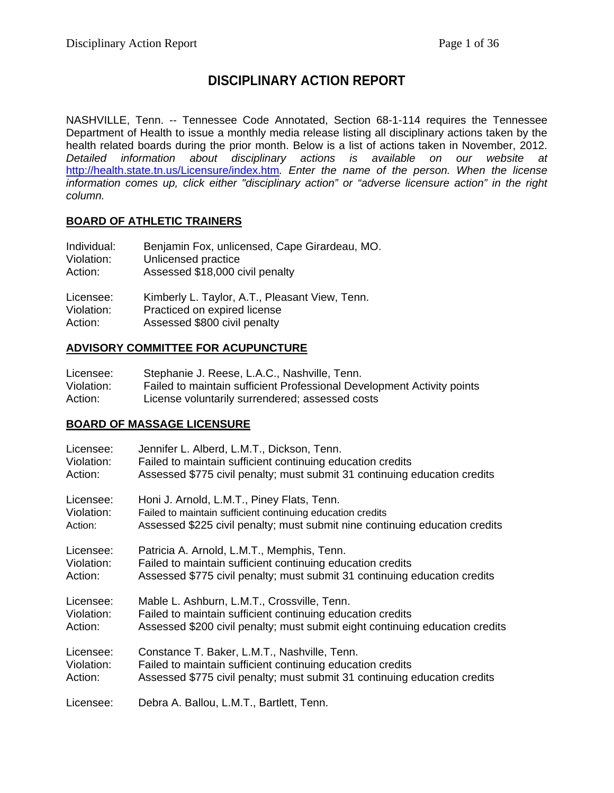## **DISCIPLINARY ACTION REPORT**

NASHVILLE, Tenn. -- Tennessee Code Annotated, Section 68-1-114 requires the Tennessee Department of Health to issue a monthly media release listing all disciplinary actions taken by the health related boards during the prior month. Below is a list of actions taken in November, 2012. *Detailed information about disciplinary actions is available on our website at*  <http://health.state.tn.us/Licensure/index.htm>*. Enter the name of the person. When the license information comes up, click either "disciplinary action" or "adverse licensure action" in the right column.*

## **BOARD OF ATHLETIC TRAINERS**

| Individual: | Benjamin Fox, unlicensed, Cape Girardeau, MO.  |
|-------------|------------------------------------------------|
| Violation:  | Unlicensed practice                            |
| Action:     | Assessed \$18,000 civil penalty                |
| Licensee:   | Kimberly L. Taylor, A.T., Pleasant View, Tenn. |
| Violation:  | Practiced on expired license                   |
| Action:     | Assessed \$800 civil penalty                   |

## **ADVISORY COMMITTEE FOR ACUPUNCTURE**

| Licensee:  | Stephanie J. Reese, L.A.C., Nashville, Tenn.                           |
|------------|------------------------------------------------------------------------|
| Violation: | Failed to maintain sufficient Professional Development Activity points |
| Action:    | License voluntarily surrendered; assessed costs                        |

## **BOARD OF MASSAGE LICENSURE**

| Licensee:  | Jennifer L. Alberd, L.M.T., Dickson, Tenn.                                   |
|------------|------------------------------------------------------------------------------|
| Violation: | Failed to maintain sufficient continuing education credits                   |
| Action:    | Assessed \$775 civil penalty; must submit 31 continuing education credits    |
| Licensee:  | Honi J. Arnold, L.M.T., Piney Flats, Tenn.                                   |
| Violation: | Failed to maintain sufficient continuing education credits                   |
| Action:    | Assessed \$225 civil penalty; must submit nine continuing education credits  |
| Licensee:  | Patricia A. Arnold, L.M.T., Memphis, Tenn.                                   |
| Violation: | Failed to maintain sufficient continuing education credits                   |
| Action:    | Assessed \$775 civil penalty; must submit 31 continuing education credits    |
| Licensee:  | Mable L. Ashburn, L.M.T., Crossville, Tenn.                                  |
| Violation: | Failed to maintain sufficient continuing education credits                   |
| Action:    | Assessed \$200 civil penalty; must submit eight continuing education credits |
| Licensee:  | Constance T. Baker, L.M.T., Nashville, Tenn.                                 |
| Violation: | Failed to maintain sufficient continuing education credits                   |
| Action:    | Assessed \$775 civil penalty; must submit 31 continuing education credits    |
| Licensee:  | Debra A. Ballou, L.M.T., Bartlett, Tenn.                                     |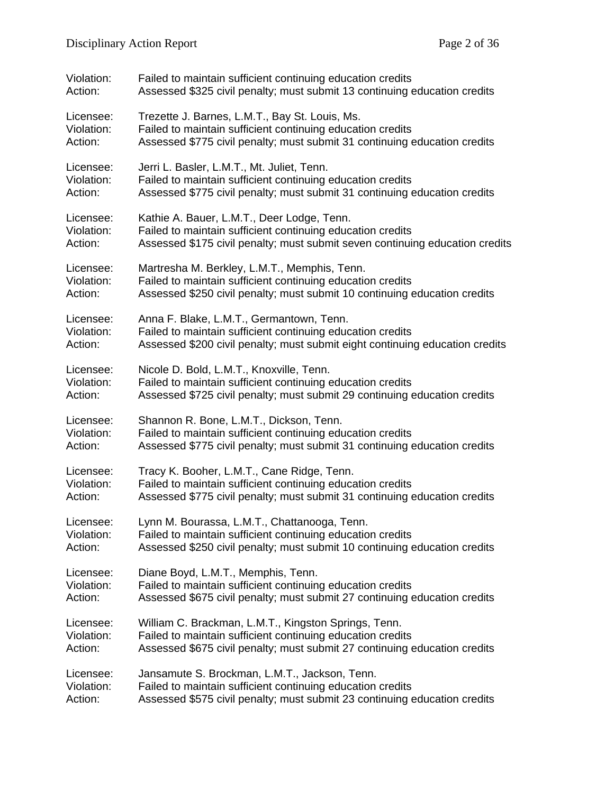| Violation: | Failed to maintain sufficient continuing education credits                   |
|------------|------------------------------------------------------------------------------|
| Action:    | Assessed \$325 civil penalty; must submit 13 continuing education credits    |
| Licensee:  | Trezette J. Barnes, L.M.T., Bay St. Louis, Ms.                               |
| Violation: | Failed to maintain sufficient continuing education credits                   |
| Action:    | Assessed \$775 civil penalty; must submit 31 continuing education credits    |
| Licensee:  | Jerri L. Basler, L.M.T., Mt. Juliet, Tenn.                                   |
| Violation: | Failed to maintain sufficient continuing education credits                   |
| Action:    | Assessed \$775 civil penalty; must submit 31 continuing education credits    |
| Licensee:  | Kathie A. Bauer, L.M.T., Deer Lodge, Tenn.                                   |
| Violation: | Failed to maintain sufficient continuing education credits                   |
| Action:    | Assessed \$175 civil penalty; must submit seven continuing education credits |
| Licensee:  | Martresha M. Berkley, L.M.T., Memphis, Tenn.                                 |
| Violation: | Failed to maintain sufficient continuing education credits                   |
| Action:    | Assessed \$250 civil penalty; must submit 10 continuing education credits    |
| Licensee:  | Anna F. Blake, L.M.T., Germantown, Tenn.                                     |
| Violation: | Failed to maintain sufficient continuing education credits                   |
| Action:    | Assessed \$200 civil penalty; must submit eight continuing education credits |
| Licensee:  | Nicole D. Bold, L.M.T., Knoxville, Tenn.                                     |
| Violation: | Failed to maintain sufficient continuing education credits                   |
| Action:    | Assessed \$725 civil penalty; must submit 29 continuing education credits    |
| Licensee:  | Shannon R. Bone, L.M.T., Dickson, Tenn.                                      |
| Violation: | Failed to maintain sufficient continuing education credits                   |
| Action:    | Assessed \$775 civil penalty; must submit 31 continuing education credits    |
| Licensee:  | Tracy K. Booher, L.M.T., Cane Ridge, Tenn.                                   |
| Violation: | Failed to maintain sufficient continuing education credits                   |
| Action:    | Assessed \$775 civil penalty; must submit 31 continuing education credits    |
| Licensee:  | Lynn M. Bourassa, L.M.T., Chattanooga, Tenn.                                 |
| Violation: | Failed to maintain sufficient continuing education credits                   |
| Action:    | Assessed \$250 civil penalty; must submit 10 continuing education credits    |
| Licensee:  | Diane Boyd, L.M.T., Memphis, Tenn.                                           |
| Violation: | Failed to maintain sufficient continuing education credits                   |
| Action:    | Assessed \$675 civil penalty; must submit 27 continuing education credits    |
| Licensee:  | William C. Brackman, L.M.T., Kingston Springs, Tenn.                         |
| Violation: | Failed to maintain sufficient continuing education credits                   |
| Action:    | Assessed \$675 civil penalty; must submit 27 continuing education credits    |
| Licensee:  | Jansamute S. Brockman, L.M.T., Jackson, Tenn.                                |
| Violation: | Failed to maintain sufficient continuing education credits                   |
| Action:    | Assessed \$575 civil penalty; must submit 23 continuing education credits    |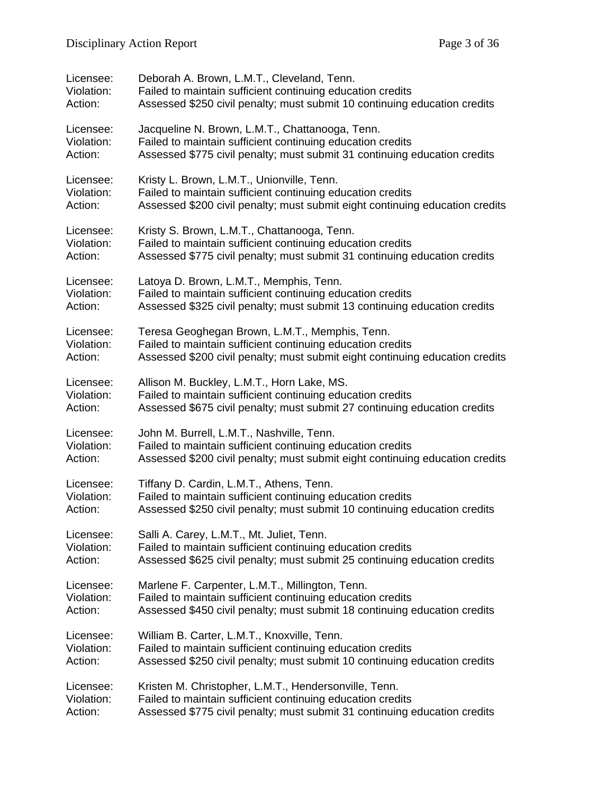| Licensee:  | Deborah A. Brown, L.M.T., Cleveland, Tenn.                                   |
|------------|------------------------------------------------------------------------------|
| Violation: | Failed to maintain sufficient continuing education credits                   |
| Action:    | Assessed \$250 civil penalty; must submit 10 continuing education credits    |
| Licensee:  | Jacqueline N. Brown, L.M.T., Chattanooga, Tenn.                              |
| Violation: | Failed to maintain sufficient continuing education credits                   |
| Action:    | Assessed \$775 civil penalty; must submit 31 continuing education credits    |
| Licensee:  | Kristy L. Brown, L.M.T., Unionville, Tenn.                                   |
| Violation: | Failed to maintain sufficient continuing education credits                   |
| Action:    | Assessed \$200 civil penalty; must submit eight continuing education credits |
| Licensee:  | Kristy S. Brown, L.M.T., Chattanooga, Tenn.                                  |
| Violation: | Failed to maintain sufficient continuing education credits                   |
| Action:    | Assessed \$775 civil penalty; must submit 31 continuing education credits    |
| Licensee:  | Latoya D. Brown, L.M.T., Memphis, Tenn.                                      |
| Violation: | Failed to maintain sufficient continuing education credits                   |
| Action:    | Assessed \$325 civil penalty; must submit 13 continuing education credits    |
| Licensee:  | Teresa Geoghegan Brown, L.M.T., Memphis, Tenn.                               |
| Violation: | Failed to maintain sufficient continuing education credits                   |
| Action:    | Assessed \$200 civil penalty; must submit eight continuing education credits |
| Licensee:  | Allison M. Buckley, L.M.T., Horn Lake, MS.                                   |
| Violation: | Failed to maintain sufficient continuing education credits                   |
| Action:    | Assessed \$675 civil penalty; must submit 27 continuing education credits    |
| Licensee:  | John M. Burrell, L.M.T., Nashville, Tenn.                                    |
| Violation: | Failed to maintain sufficient continuing education credits                   |
| Action:    | Assessed \$200 civil penalty; must submit eight continuing education credits |
| Licensee:  | Tiffany D. Cardin, L.M.T., Athens, Tenn.                                     |
| Violation: | Failed to maintain sufficient continuing education credits                   |
| Action:    | Assessed \$250 civil penalty; must submit 10 continuing education credits    |
| Licensee:  | Salli A. Carey, L.M.T., Mt. Juliet, Tenn.                                    |
| Violation: | Failed to maintain sufficient continuing education credits                   |
| Action:    | Assessed \$625 civil penalty; must submit 25 continuing education credits    |
| Licensee:  | Marlene F. Carpenter, L.M.T., Millington, Tenn.                              |
| Violation: | Failed to maintain sufficient continuing education credits                   |
| Action:    | Assessed \$450 civil penalty; must submit 18 continuing education credits    |
| Licensee:  | William B. Carter, L.M.T., Knoxville, Tenn.                                  |
| Violation: | Failed to maintain sufficient continuing education credits                   |
| Action:    | Assessed \$250 civil penalty; must submit 10 continuing education credits    |
| Licensee:  | Kristen M. Christopher, L.M.T., Hendersonville, Tenn.                        |
| Violation: | Failed to maintain sufficient continuing education credits                   |
| Action:    | Assessed \$775 civil penalty; must submit 31 continuing education credits    |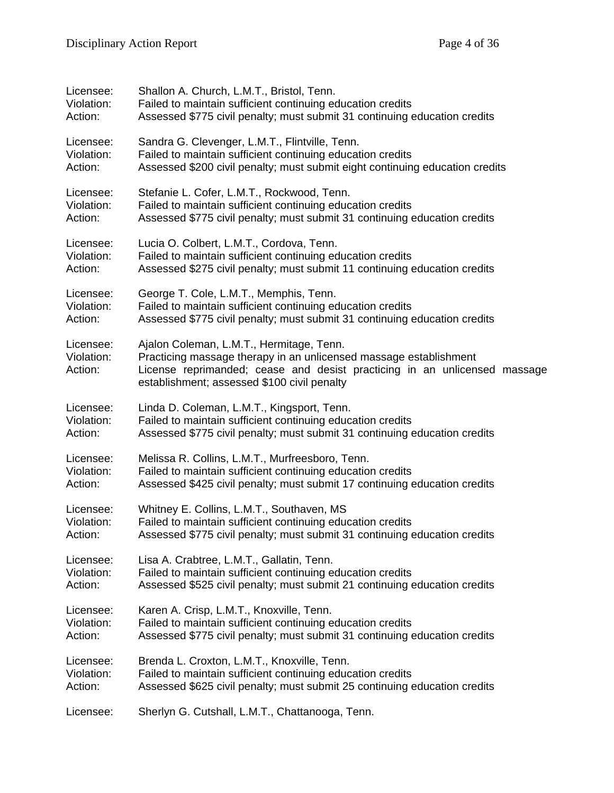| Licensee:                          | Shallon A. Church, L.M.T., Bristol, Tenn.                                                                                                                                                                                                 |
|------------------------------------|-------------------------------------------------------------------------------------------------------------------------------------------------------------------------------------------------------------------------------------------|
| Violation:                         | Failed to maintain sufficient continuing education credits                                                                                                                                                                                |
| Action:                            | Assessed \$775 civil penalty; must submit 31 continuing education credits                                                                                                                                                                 |
| Licensee:                          | Sandra G. Clevenger, L.M.T., Flintville, Tenn.                                                                                                                                                                                            |
| Violation:                         | Failed to maintain sufficient continuing education credits                                                                                                                                                                                |
| Action:                            | Assessed \$200 civil penalty; must submit eight continuing education credits                                                                                                                                                              |
| Licensee:                          | Stefanie L. Cofer, L.M.T., Rockwood, Tenn.                                                                                                                                                                                                |
| Violation:                         | Failed to maintain sufficient continuing education credits                                                                                                                                                                                |
| Action:                            | Assessed \$775 civil penalty; must submit 31 continuing education credits                                                                                                                                                                 |
| Licensee:                          | Lucia O. Colbert, L.M.T., Cordova, Tenn.                                                                                                                                                                                                  |
| Violation:                         | Failed to maintain sufficient continuing education credits                                                                                                                                                                                |
| Action:                            | Assessed \$275 civil penalty; must submit 11 continuing education credits                                                                                                                                                                 |
| Licensee:                          | George T. Cole, L.M.T., Memphis, Tenn.                                                                                                                                                                                                    |
| Violation:                         | Failed to maintain sufficient continuing education credits                                                                                                                                                                                |
| Action:                            | Assessed \$775 civil penalty; must submit 31 continuing education credits                                                                                                                                                                 |
| Licensee:<br>Violation:<br>Action: | Ajalon Coleman, L.M.T., Hermitage, Tenn.<br>Practicing massage therapy in an unlicensed massage establishment<br>License reprimanded; cease and desist practicing in an unlicensed massage<br>establishment; assessed \$100 civil penalty |
| Licensee:                          | Linda D. Coleman, L.M.T., Kingsport, Tenn.                                                                                                                                                                                                |
| Violation:                         | Failed to maintain sufficient continuing education credits                                                                                                                                                                                |
| Action:                            | Assessed \$775 civil penalty; must submit 31 continuing education credits                                                                                                                                                                 |
| Licensee:                          | Melissa R. Collins, L.M.T., Murfreesboro, Tenn.                                                                                                                                                                                           |
| Violation:                         | Failed to maintain sufficient continuing education credits                                                                                                                                                                                |
| Action:                            | Assessed \$425 civil penalty; must submit 17 continuing education credits                                                                                                                                                                 |
| Licensee:                          | Whitney E. Collins, L.M.T., Southaven, MS                                                                                                                                                                                                 |
| Violation:                         | Failed to maintain sufficient continuing education credits                                                                                                                                                                                |
| Action:                            | Assessed \$775 civil penalty; must submit 31 continuing education credits                                                                                                                                                                 |
| Licensee:                          | Lisa A. Crabtree, L.M.T., Gallatin, Tenn.                                                                                                                                                                                                 |
| Violation:                         | Failed to maintain sufficient continuing education credits                                                                                                                                                                                |
| Action:                            | Assessed \$525 civil penalty; must submit 21 continuing education credits                                                                                                                                                                 |
| Licensee:                          | Karen A. Crisp, L.M.T., Knoxville, Tenn.                                                                                                                                                                                                  |
| Violation:                         | Failed to maintain sufficient continuing education credits                                                                                                                                                                                |
| Action:                            | Assessed \$775 civil penalty; must submit 31 continuing education credits                                                                                                                                                                 |
| Licensee:                          | Brenda L. Croxton, L.M.T., Knoxville, Tenn.                                                                                                                                                                                               |
| Violation:                         | Failed to maintain sufficient continuing education credits                                                                                                                                                                                |
| Action:                            | Assessed \$625 civil penalty; must submit 25 continuing education credits                                                                                                                                                                 |
| Licensee:                          | Sherlyn G. Cutshall, L.M.T., Chattanooga, Tenn.                                                                                                                                                                                           |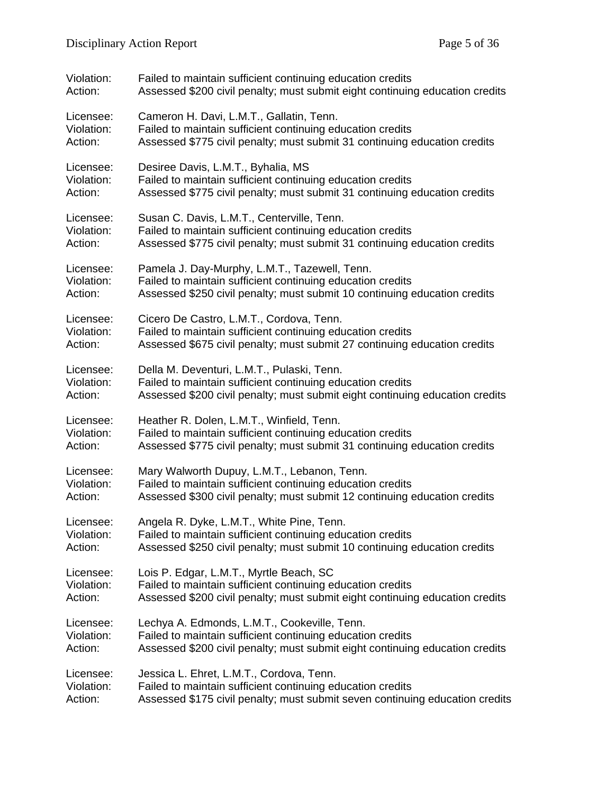| Violation: | Failed to maintain sufficient continuing education credits                   |
|------------|------------------------------------------------------------------------------|
| Action:    | Assessed \$200 civil penalty; must submit eight continuing education credits |
| Licensee:  | Cameron H. Davi, L.M.T., Gallatin, Tenn.                                     |
| Violation: | Failed to maintain sufficient continuing education credits                   |
| Action:    | Assessed \$775 civil penalty; must submit 31 continuing education credits    |
| Licensee:  | Desiree Davis, L.M.T., Byhalia, MS                                           |
| Violation: | Failed to maintain sufficient continuing education credits                   |
| Action:    | Assessed \$775 civil penalty; must submit 31 continuing education credits    |
| Licensee:  | Susan C. Davis, L.M.T., Centerville, Tenn.                                   |
| Violation: | Failed to maintain sufficient continuing education credits                   |
| Action:    | Assessed \$775 civil penalty; must submit 31 continuing education credits    |
| Licensee:  | Pamela J. Day-Murphy, L.M.T., Tazewell, Tenn.                                |
| Violation: | Failed to maintain sufficient continuing education credits                   |
| Action:    | Assessed \$250 civil penalty; must submit 10 continuing education credits    |
| Licensee:  | Cicero De Castro, L.M.T., Cordova, Tenn.                                     |
| Violation: | Failed to maintain sufficient continuing education credits                   |
| Action:    | Assessed \$675 civil penalty; must submit 27 continuing education credits    |
| Licensee:  | Della M. Deventuri, L.M.T., Pulaski, Tenn.                                   |
| Violation: | Failed to maintain sufficient continuing education credits                   |
| Action:    | Assessed \$200 civil penalty; must submit eight continuing education credits |
| Licensee:  | Heather R. Dolen, L.M.T., Winfield, Tenn.                                    |
| Violation: | Failed to maintain sufficient continuing education credits                   |
| Action:    | Assessed \$775 civil penalty; must submit 31 continuing education credits    |
| Licensee:  | Mary Walworth Dupuy, L.M.T., Lebanon, Tenn.                                  |
| Violation: | Failed to maintain sufficient continuing education credits                   |
| Action:    | Assessed \$300 civil penalty; must submit 12 continuing education credits    |
| Licensee:  | Angela R. Dyke, L.M.T., White Pine, Tenn.                                    |
| Violation: | Failed to maintain sufficient continuing education credits                   |
| Action:    | Assessed \$250 civil penalty; must submit 10 continuing education credits    |
| Licensee:  | Lois P. Edgar, L.M.T., Myrtle Beach, SC                                      |
| Violation: | Failed to maintain sufficient continuing education credits                   |
| Action:    | Assessed \$200 civil penalty; must submit eight continuing education credits |
| Licensee:  | Lechya A. Edmonds, L.M.T., Cookeville, Tenn.                                 |
| Violation: | Failed to maintain sufficient continuing education credits                   |
| Action:    | Assessed \$200 civil penalty; must submit eight continuing education credits |
| Licensee:  | Jessica L. Ehret, L.M.T., Cordova, Tenn.                                     |
| Violation: | Failed to maintain sufficient continuing education credits                   |
| Action:    | Assessed \$175 civil penalty; must submit seven continuing education credits |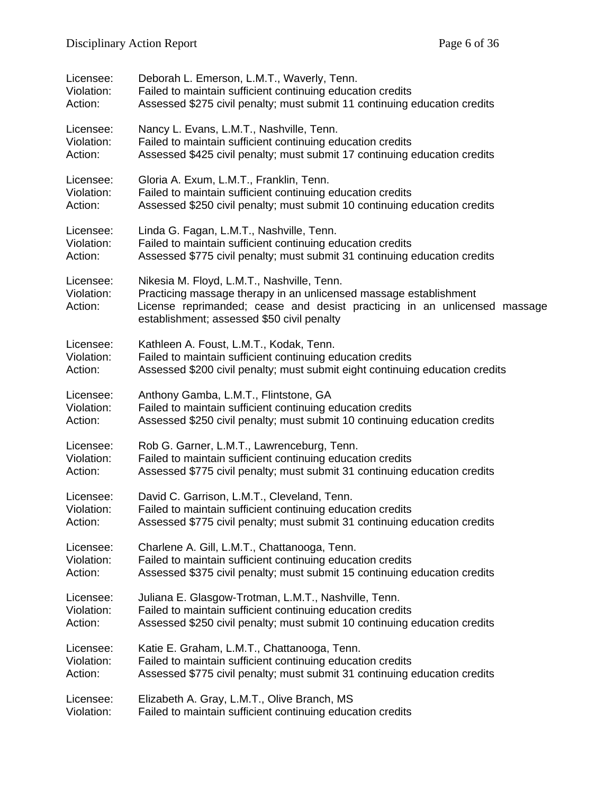| Licensee:                          | Deborah L. Emerson, L.M.T., Waverly, Tenn.                                                                                                                                                                                                 |
|------------------------------------|--------------------------------------------------------------------------------------------------------------------------------------------------------------------------------------------------------------------------------------------|
| Violation:                         | Failed to maintain sufficient continuing education credits                                                                                                                                                                                 |
| Action:                            | Assessed \$275 civil penalty; must submit 11 continuing education credits                                                                                                                                                                  |
| Licensee:                          | Nancy L. Evans, L.M.T., Nashville, Tenn.                                                                                                                                                                                                   |
| Violation:                         | Failed to maintain sufficient continuing education credits                                                                                                                                                                                 |
| Action:                            | Assessed \$425 civil penalty; must submit 17 continuing education credits                                                                                                                                                                  |
| Licensee:                          | Gloria A. Exum, L.M.T., Franklin, Tenn.                                                                                                                                                                                                    |
| Violation:                         | Failed to maintain sufficient continuing education credits                                                                                                                                                                                 |
| Action:                            | Assessed \$250 civil penalty; must submit 10 continuing education credits                                                                                                                                                                  |
| Licensee:                          | Linda G. Fagan, L.M.T., Nashville, Tenn.                                                                                                                                                                                                   |
| Violation:                         | Failed to maintain sufficient continuing education credits                                                                                                                                                                                 |
| Action:                            | Assessed \$775 civil penalty; must submit 31 continuing education credits                                                                                                                                                                  |
| Licensee:<br>Violation:<br>Action: | Nikesia M. Floyd, L.M.T., Nashville, Tenn.<br>Practicing massage therapy in an unlicensed massage establishment<br>License reprimanded; cease and desist practicing in an unlicensed massage<br>establishment; assessed \$50 civil penalty |
| Licensee:                          | Kathleen A. Foust, L.M.T., Kodak, Tenn.                                                                                                                                                                                                    |
| Violation:                         | Failed to maintain sufficient continuing education credits                                                                                                                                                                                 |
| Action:                            | Assessed \$200 civil penalty; must submit eight continuing education credits                                                                                                                                                               |
| Licensee:                          | Anthony Gamba, L.M.T., Flintstone, GA                                                                                                                                                                                                      |
| Violation:                         | Failed to maintain sufficient continuing education credits                                                                                                                                                                                 |
| Action:                            | Assessed \$250 civil penalty; must submit 10 continuing education credits                                                                                                                                                                  |
| Licensee:                          | Rob G. Garner, L.M.T., Lawrenceburg, Tenn.                                                                                                                                                                                                 |
| Violation:                         | Failed to maintain sufficient continuing education credits                                                                                                                                                                                 |
| Action:                            | Assessed \$775 civil penalty; must submit 31 continuing education credits                                                                                                                                                                  |
| Licensee:                          | David C. Garrison, L.M.T., Cleveland, Tenn.                                                                                                                                                                                                |
| Violation:                         | Failed to maintain sufficient continuing education credits                                                                                                                                                                                 |
| Action:                            | Assessed \$775 civil penalty; must submit 31 continuing education credits                                                                                                                                                                  |
| Licensee:                          | Charlene A. Gill, L.M.T., Chattanooga, Tenn.                                                                                                                                                                                               |
| Violation:                         | Failed to maintain sufficient continuing education credits                                                                                                                                                                                 |
| Action:                            | Assessed \$375 civil penalty; must submit 15 continuing education credits                                                                                                                                                                  |
| Licensee:                          | Juliana E. Glasgow-Trotman, L.M.T., Nashville, Tenn.                                                                                                                                                                                       |
| Violation:                         | Failed to maintain sufficient continuing education credits                                                                                                                                                                                 |
| Action:                            | Assessed \$250 civil penalty; must submit 10 continuing education credits                                                                                                                                                                  |
| Licensee:                          | Katie E. Graham, L.M.T., Chattanooga, Tenn.                                                                                                                                                                                                |
| Violation:                         | Failed to maintain sufficient continuing education credits                                                                                                                                                                                 |
| Action:                            | Assessed \$775 civil penalty; must submit 31 continuing education credits                                                                                                                                                                  |
| Licensee:                          | Elizabeth A. Gray, L.M.T., Olive Branch, MS                                                                                                                                                                                                |
| Violation:                         | Failed to maintain sufficient continuing education credits                                                                                                                                                                                 |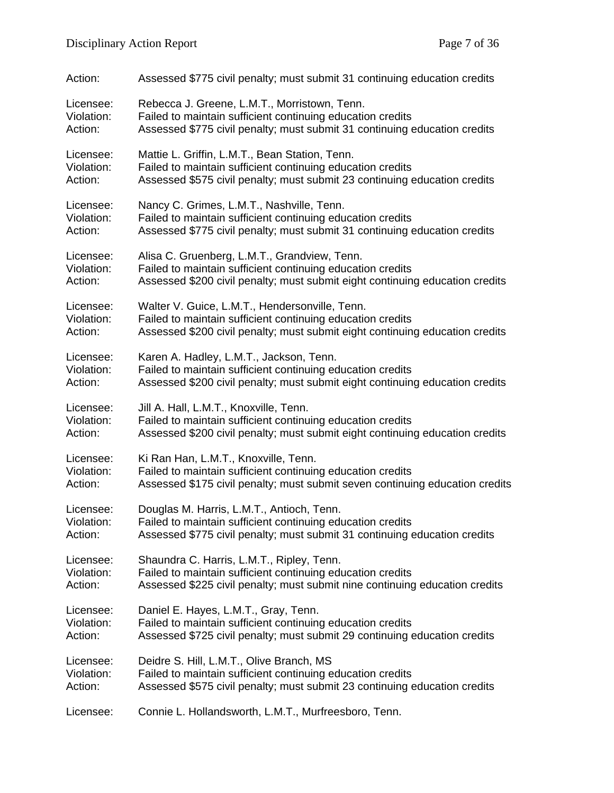| Action:    | Assessed \$775 civil penalty; must submit 31 continuing education credits    |
|------------|------------------------------------------------------------------------------|
| Licensee:  | Rebecca J. Greene, L.M.T., Morristown, Tenn.                                 |
| Violation: | Failed to maintain sufficient continuing education credits                   |
| Action:    | Assessed \$775 civil penalty; must submit 31 continuing education credits    |
| Licensee:  | Mattie L. Griffin, L.M.T., Bean Station, Tenn.                               |
| Violation: | Failed to maintain sufficient continuing education credits                   |
| Action:    | Assessed \$575 civil penalty; must submit 23 continuing education credits    |
| Licensee:  | Nancy C. Grimes, L.M.T., Nashville, Tenn.                                    |
| Violation: | Failed to maintain sufficient continuing education credits                   |
| Action:    | Assessed \$775 civil penalty; must submit 31 continuing education credits    |
| Licensee:  | Alisa C. Gruenberg, L.M.T., Grandview, Tenn.                                 |
| Violation: | Failed to maintain sufficient continuing education credits                   |
| Action:    | Assessed \$200 civil penalty; must submit eight continuing education credits |
| Licensee:  | Walter V. Guice, L.M.T., Hendersonville, Tenn.                               |
| Violation: | Failed to maintain sufficient continuing education credits                   |
| Action:    | Assessed \$200 civil penalty; must submit eight continuing education credits |
| Licensee:  | Karen A. Hadley, L.M.T., Jackson, Tenn.                                      |
| Violation: | Failed to maintain sufficient continuing education credits                   |
| Action:    | Assessed \$200 civil penalty; must submit eight continuing education credits |
| Licensee:  | Jill A. Hall, L.M.T., Knoxville, Tenn.                                       |
| Violation: | Failed to maintain sufficient continuing education credits                   |
| Action:    | Assessed \$200 civil penalty; must submit eight continuing education credits |
| Licensee:  | Ki Ran Han, L.M.T., Knoxville, Tenn.                                         |
| Violation: | Failed to maintain sufficient continuing education credits                   |
| Action:    | Assessed \$175 civil penalty; must submit seven continuing education credits |
| Licensee:  | Douglas M. Harris, L.M.T., Antioch, Tenn.                                    |
| Violation: | Failed to maintain sufficient continuing education credits                   |
| Action:    | Assessed \$775 civil penalty; must submit 31 continuing education credits    |
| Licensee:  | Shaundra C. Harris, L.M.T., Ripley, Tenn.                                    |
| Violation: | Failed to maintain sufficient continuing education credits                   |
| Action:    | Assessed \$225 civil penalty; must submit nine continuing education credits  |
| Licensee:  | Daniel E. Hayes, L.M.T., Gray, Tenn.                                         |
| Violation: | Failed to maintain sufficient continuing education credits                   |
| Action:    | Assessed \$725 civil penalty; must submit 29 continuing education credits    |
| Licensee:  | Deidre S. Hill, L.M.T., Olive Branch, MS                                     |
| Violation: | Failed to maintain sufficient continuing education credits                   |
| Action:    | Assessed \$575 civil penalty; must submit 23 continuing education credits    |
| Licensee:  | Connie L. Hollandsworth, L.M.T., Murfreesboro, Tenn.                         |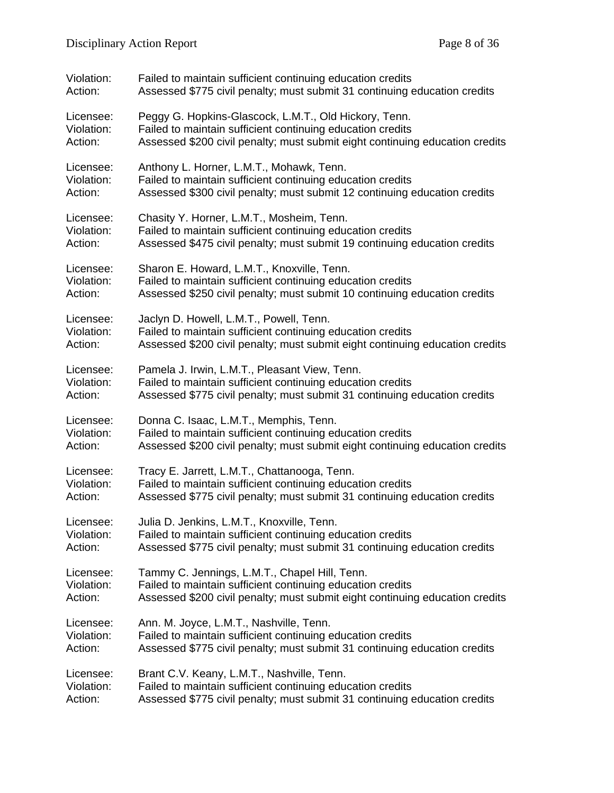| Violation: | Failed to maintain sufficient continuing education credits                   |
|------------|------------------------------------------------------------------------------|
| Action:    | Assessed \$775 civil penalty; must submit 31 continuing education credits    |
| Licensee:  | Peggy G. Hopkins-Glascock, L.M.T., Old Hickory, Tenn.                        |
| Violation: | Failed to maintain sufficient continuing education credits                   |
| Action:    | Assessed \$200 civil penalty; must submit eight continuing education credits |
| Licensee:  | Anthony L. Horner, L.M.T., Mohawk, Tenn.                                     |
| Violation: | Failed to maintain sufficient continuing education credits                   |
| Action:    | Assessed \$300 civil penalty; must submit 12 continuing education credits    |
| Licensee:  | Chasity Y. Horner, L.M.T., Mosheim, Tenn.                                    |
| Violation: | Failed to maintain sufficient continuing education credits                   |
| Action:    | Assessed \$475 civil penalty; must submit 19 continuing education credits    |
| Licensee:  | Sharon E. Howard, L.M.T., Knoxville, Tenn.                                   |
| Violation: | Failed to maintain sufficient continuing education credits                   |
| Action:    | Assessed \$250 civil penalty; must submit 10 continuing education credits    |
| Licensee:  | Jaclyn D. Howell, L.M.T., Powell, Tenn.                                      |
| Violation: | Failed to maintain sufficient continuing education credits                   |
| Action:    | Assessed \$200 civil penalty; must submit eight continuing education credits |
| Licensee:  | Pamela J. Irwin, L.M.T., Pleasant View, Tenn.                                |
| Violation: | Failed to maintain sufficient continuing education credits                   |
| Action:    | Assessed \$775 civil penalty; must submit 31 continuing education credits    |
| Licensee:  | Donna C. Isaac, L.M.T., Memphis, Tenn.                                       |
| Violation: | Failed to maintain sufficient continuing education credits                   |
| Action:    | Assessed \$200 civil penalty; must submit eight continuing education credits |
| Licensee:  | Tracy E. Jarrett, L.M.T., Chattanooga, Tenn.                                 |
| Violation: | Failed to maintain sufficient continuing education credits                   |
| Action:    | Assessed \$775 civil penalty; must submit 31 continuing education credits    |
| Licensee:  | Julia D. Jenkins, L.M.T., Knoxville, Tenn.                                   |
| Violation: | Failed to maintain sufficient continuing education credits                   |
| Action:    | Assessed \$775 civil penalty; must submit 31 continuing education credits    |
| Licensee:  | Tammy C. Jennings, L.M.T., Chapel Hill, Tenn.                                |
| Violation: | Failed to maintain sufficient continuing education credits                   |
| Action:    | Assessed \$200 civil penalty; must submit eight continuing education credits |
| Licensee:  | Ann. M. Joyce, L.M.T., Nashville, Tenn.                                      |
| Violation: | Failed to maintain sufficient continuing education credits                   |
| Action:    | Assessed \$775 civil penalty; must submit 31 continuing education credits    |
| Licensee:  | Brant C.V. Keany, L.M.T., Nashville, Tenn.                                   |
| Violation: | Failed to maintain sufficient continuing education credits                   |
| Action:    | Assessed \$775 civil penalty; must submit 31 continuing education credits    |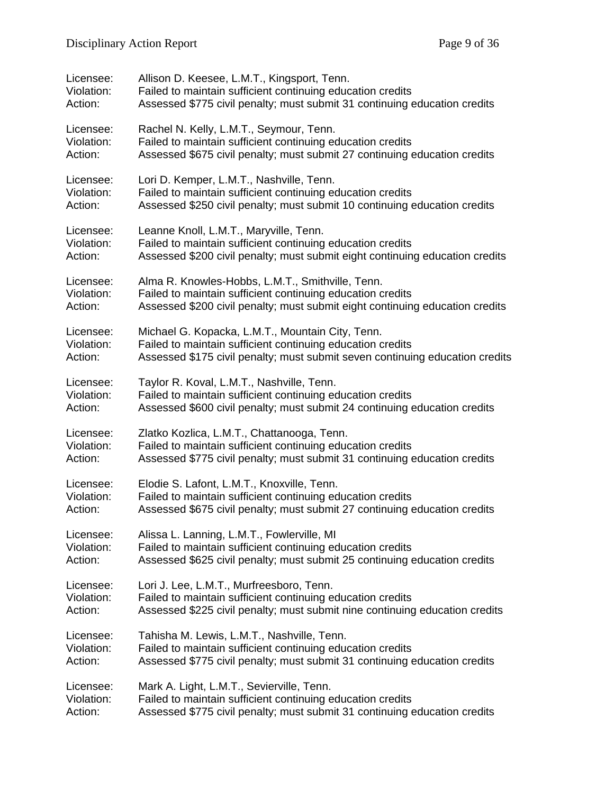| Licensee:  | Allison D. Keesee, L.M.T., Kingsport, Tenn.                                  |
|------------|------------------------------------------------------------------------------|
| Violation: | Failed to maintain sufficient continuing education credits                   |
| Action:    | Assessed \$775 civil penalty; must submit 31 continuing education credits    |
| Licensee:  | Rachel N. Kelly, L.M.T., Seymour, Tenn.                                      |
| Violation: | Failed to maintain sufficient continuing education credits                   |
| Action:    | Assessed \$675 civil penalty; must submit 27 continuing education credits    |
| Licensee:  | Lori D. Kemper, L.M.T., Nashville, Tenn.                                     |
| Violation: | Failed to maintain sufficient continuing education credits                   |
| Action:    | Assessed \$250 civil penalty; must submit 10 continuing education credits    |
| Licensee:  | Leanne Knoll, L.M.T., Maryville, Tenn.                                       |
| Violation: | Failed to maintain sufficient continuing education credits                   |
| Action:    | Assessed \$200 civil penalty; must submit eight continuing education credits |
| Licensee:  | Alma R. Knowles-Hobbs, L.M.T., Smithville, Tenn.                             |
| Violation: | Failed to maintain sufficient continuing education credits                   |
| Action:    | Assessed \$200 civil penalty; must submit eight continuing education credits |
| Licensee:  | Michael G. Kopacka, L.M.T., Mountain City, Tenn.                             |
| Violation: | Failed to maintain sufficient continuing education credits                   |
| Action:    | Assessed \$175 civil penalty; must submit seven continuing education credits |
| Licensee:  | Taylor R. Koval, L.M.T., Nashville, Tenn.                                    |
| Violation: | Failed to maintain sufficient continuing education credits                   |
| Action:    | Assessed \$600 civil penalty; must submit 24 continuing education credits    |
| Licensee:  | Zlatko Kozlica, L.M.T., Chattanooga, Tenn.                                   |
| Violation: | Failed to maintain sufficient continuing education credits                   |
| Action:    | Assessed \$775 civil penalty; must submit 31 continuing education credits    |
| Licensee:  | Elodie S. Lafont, L.M.T., Knoxville, Tenn.                                   |
| Violation: | Failed to maintain sufficient continuing education credits                   |
| Action:    | Assessed \$675 civil penalty; must submit 27 continuing education credits    |
| Licensee:  | Alissa L. Lanning, L.M.T., Fowlerville, MI                                   |
| Violation: | Failed to maintain sufficient continuing education credits                   |
| Action:    | Assessed \$625 civil penalty; must submit 25 continuing education credits    |
| Licensee:  | Lori J. Lee, L.M.T., Murfreesboro, Tenn.                                     |
| Violation: | Failed to maintain sufficient continuing education credits                   |
| Action:    | Assessed \$225 civil penalty; must submit nine continuing education credits  |
| Licensee:  | Tahisha M. Lewis, L.M.T., Nashville, Tenn.                                   |
| Violation: | Failed to maintain sufficient continuing education credits                   |
| Action:    | Assessed \$775 civil penalty; must submit 31 continuing education credits    |
| Licensee:  | Mark A. Light, L.M.T., Sevierville, Tenn.                                    |
| Violation: | Failed to maintain sufficient continuing education credits                   |
| Action:    | Assessed \$775 civil penalty; must submit 31 continuing education credits    |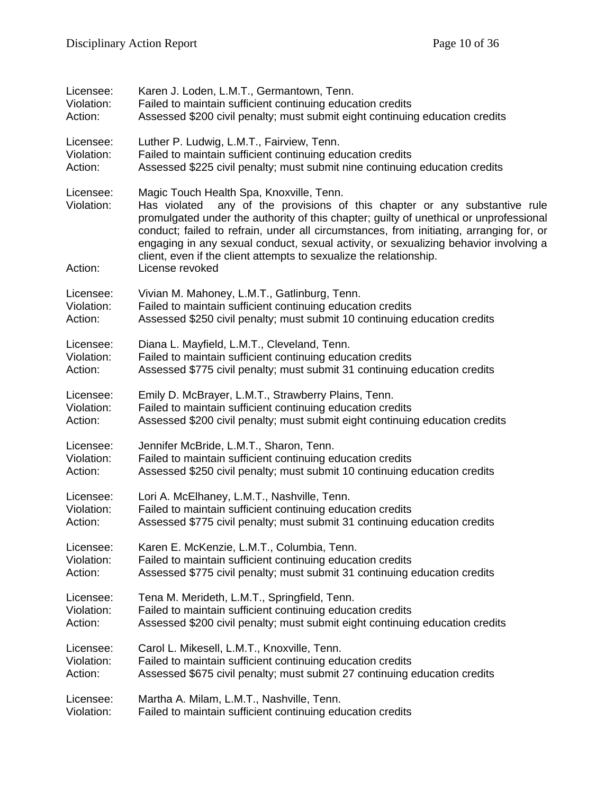| Licensee:                          | Karen J. Loden, L.M.T., Germantown, Tenn.                                                                                                                                                                                                                                                                                                                                                                                                                                                       |
|------------------------------------|-------------------------------------------------------------------------------------------------------------------------------------------------------------------------------------------------------------------------------------------------------------------------------------------------------------------------------------------------------------------------------------------------------------------------------------------------------------------------------------------------|
| Violation:                         | Failed to maintain sufficient continuing education credits                                                                                                                                                                                                                                                                                                                                                                                                                                      |
| Action:                            | Assessed \$200 civil penalty; must submit eight continuing education credits                                                                                                                                                                                                                                                                                                                                                                                                                    |
| Licensee:                          | Luther P. Ludwig, L.M.T., Fairview, Tenn.                                                                                                                                                                                                                                                                                                                                                                                                                                                       |
| Violation:                         | Failed to maintain sufficient continuing education credits                                                                                                                                                                                                                                                                                                                                                                                                                                      |
| Action:                            | Assessed \$225 civil penalty; must submit nine continuing education credits                                                                                                                                                                                                                                                                                                                                                                                                                     |
| Licensee:<br>Violation:<br>Action: | Magic Touch Health Spa, Knoxville, Tenn.<br>Has violated<br>any of the provisions of this chapter or any substantive rule<br>promulgated under the authority of this chapter; guilty of unethical or unprofessional<br>conduct; failed to refrain, under all circumstances, from initiating, arranging for, or<br>engaging in any sexual conduct, sexual activity, or sexualizing behavior involving a<br>client, even if the client attempts to sexualize the relationship.<br>License revoked |
| Licensee:                          | Vivian M. Mahoney, L.M.T., Gatlinburg, Tenn.                                                                                                                                                                                                                                                                                                                                                                                                                                                    |
| Violation:                         | Failed to maintain sufficient continuing education credits                                                                                                                                                                                                                                                                                                                                                                                                                                      |
| Action:                            | Assessed \$250 civil penalty; must submit 10 continuing education credits                                                                                                                                                                                                                                                                                                                                                                                                                       |
| Licensee:                          | Diana L. Mayfield, L.M.T., Cleveland, Tenn.                                                                                                                                                                                                                                                                                                                                                                                                                                                     |
| Violation:                         | Failed to maintain sufficient continuing education credits                                                                                                                                                                                                                                                                                                                                                                                                                                      |
| Action:                            | Assessed \$775 civil penalty; must submit 31 continuing education credits                                                                                                                                                                                                                                                                                                                                                                                                                       |
| Licensee:                          | Emily D. McBrayer, L.M.T., Strawberry Plains, Tenn.                                                                                                                                                                                                                                                                                                                                                                                                                                             |
| Violation:                         | Failed to maintain sufficient continuing education credits                                                                                                                                                                                                                                                                                                                                                                                                                                      |
| Action:                            | Assessed \$200 civil penalty; must submit eight continuing education credits                                                                                                                                                                                                                                                                                                                                                                                                                    |
| Licensee:                          | Jennifer McBride, L.M.T., Sharon, Tenn.                                                                                                                                                                                                                                                                                                                                                                                                                                                         |
| Violation:                         | Failed to maintain sufficient continuing education credits                                                                                                                                                                                                                                                                                                                                                                                                                                      |
| Action:                            | Assessed \$250 civil penalty; must submit 10 continuing education credits                                                                                                                                                                                                                                                                                                                                                                                                                       |
| Licensee:                          | Lori A. McElhaney, L.M.T., Nashville, Tenn.                                                                                                                                                                                                                                                                                                                                                                                                                                                     |
| Violation:                         | Failed to maintain sufficient continuing education credits                                                                                                                                                                                                                                                                                                                                                                                                                                      |
| Action:                            | Assessed \$775 civil penalty; must submit 31 continuing education credits                                                                                                                                                                                                                                                                                                                                                                                                                       |
| Licensee:                          | Karen E. McKenzie, L.M.T., Columbia, Tenn.                                                                                                                                                                                                                                                                                                                                                                                                                                                      |
| Violation:                         | Failed to maintain sufficient continuing education credits                                                                                                                                                                                                                                                                                                                                                                                                                                      |
| Action:                            | Assessed \$775 civil penalty; must submit 31 continuing education credits                                                                                                                                                                                                                                                                                                                                                                                                                       |
| Licensee:                          | Tena M. Merideth, L.M.T., Springfield, Tenn.                                                                                                                                                                                                                                                                                                                                                                                                                                                    |
| Violation:                         | Failed to maintain sufficient continuing education credits                                                                                                                                                                                                                                                                                                                                                                                                                                      |
| Action:                            | Assessed \$200 civil penalty; must submit eight continuing education credits                                                                                                                                                                                                                                                                                                                                                                                                                    |
| Licensee:                          | Carol L. Mikesell, L.M.T., Knoxville, Tenn.                                                                                                                                                                                                                                                                                                                                                                                                                                                     |
| Violation:                         | Failed to maintain sufficient continuing education credits                                                                                                                                                                                                                                                                                                                                                                                                                                      |
| Action:                            | Assessed \$675 civil penalty; must submit 27 continuing education credits                                                                                                                                                                                                                                                                                                                                                                                                                       |
| Licensee:                          | Martha A. Milam, L.M.T., Nashville, Tenn.                                                                                                                                                                                                                                                                                                                                                                                                                                                       |
| Violation:                         | Failed to maintain sufficient continuing education credits                                                                                                                                                                                                                                                                                                                                                                                                                                      |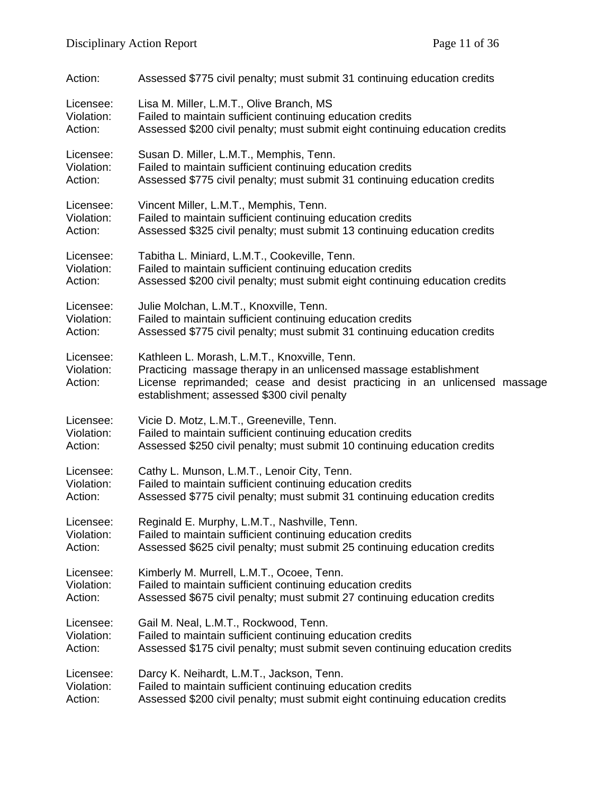| Action:                            | Assessed \$775 civil penalty; must submit 31 continuing education credits                                                                                                                                                                     |
|------------------------------------|-----------------------------------------------------------------------------------------------------------------------------------------------------------------------------------------------------------------------------------------------|
| Licensee:                          | Lisa M. Miller, L.M.T., Olive Branch, MS                                                                                                                                                                                                      |
| Violation:                         | Failed to maintain sufficient continuing education credits                                                                                                                                                                                    |
| Action:                            | Assessed \$200 civil penalty; must submit eight continuing education credits                                                                                                                                                                  |
| Licensee:                          | Susan D. Miller, L.M.T., Memphis, Tenn.                                                                                                                                                                                                       |
| Violation:                         | Failed to maintain sufficient continuing education credits                                                                                                                                                                                    |
| Action:                            | Assessed \$775 civil penalty; must submit 31 continuing education credits                                                                                                                                                                     |
| Licensee:                          | Vincent Miller, L.M.T., Memphis, Tenn.                                                                                                                                                                                                        |
| Violation:                         | Failed to maintain sufficient continuing education credits                                                                                                                                                                                    |
| Action:                            | Assessed \$325 civil penalty; must submit 13 continuing education credits                                                                                                                                                                     |
| Licensee:                          | Tabitha L. Miniard, L.M.T., Cookeville, Tenn.                                                                                                                                                                                                 |
| Violation:                         | Failed to maintain sufficient continuing education credits                                                                                                                                                                                    |
| Action:                            | Assessed \$200 civil penalty; must submit eight continuing education credits                                                                                                                                                                  |
| Licensee:                          | Julie Molchan, L.M.T., Knoxville, Tenn.                                                                                                                                                                                                       |
| Violation:                         | Failed to maintain sufficient continuing education credits                                                                                                                                                                                    |
| Action:                            | Assessed \$775 civil penalty; must submit 31 continuing education credits                                                                                                                                                                     |
| Licensee:<br>Violation:<br>Action: | Kathleen L. Morash, L.M.T., Knoxville, Tenn.<br>Practicing massage therapy in an unlicensed massage establishment<br>License reprimanded; cease and desist practicing in an unlicensed massage<br>establishment; assessed \$300 civil penalty |
| Licensee:                          | Vicie D. Motz, L.M.T., Greeneville, Tenn.                                                                                                                                                                                                     |
| Violation:                         | Failed to maintain sufficient continuing education credits                                                                                                                                                                                    |
| Action:                            | Assessed \$250 civil penalty; must submit 10 continuing education credits                                                                                                                                                                     |
| Licensee:                          | Cathy L. Munson, L.M.T., Lenoir City, Tenn.                                                                                                                                                                                                   |
| Violation:                         | Failed to maintain sufficient continuing education credits                                                                                                                                                                                    |
| Action:                            | Assessed \$775 civil penalty; must submit 31 continuing education credits                                                                                                                                                                     |
| Licensee:                          | Reginald E. Murphy, L.M.T., Nashville, Tenn.                                                                                                                                                                                                  |
| Violation:                         | Failed to maintain sufficient continuing education credits                                                                                                                                                                                    |
| Action:                            | Assessed \$625 civil penalty; must submit 25 continuing education credits                                                                                                                                                                     |
| Licensee:                          | Kimberly M. Murrell, L.M.T., Ocoee, Tenn.                                                                                                                                                                                                     |
| Violation:                         | Failed to maintain sufficient continuing education credits                                                                                                                                                                                    |
| Action:                            | Assessed \$675 civil penalty; must submit 27 continuing education credits                                                                                                                                                                     |
| Licensee:                          | Gail M. Neal, L.M.T., Rockwood, Tenn.                                                                                                                                                                                                         |
| Violation:                         | Failed to maintain sufficient continuing education credits                                                                                                                                                                                    |
| Action:                            | Assessed \$175 civil penalty; must submit seven continuing education credits                                                                                                                                                                  |
| Licensee:                          | Darcy K. Neihardt, L.M.T., Jackson, Tenn.                                                                                                                                                                                                     |
| Violation:                         | Failed to maintain sufficient continuing education credits                                                                                                                                                                                    |
| Action:                            | Assessed \$200 civil penalty; must submit eight continuing education credits                                                                                                                                                                  |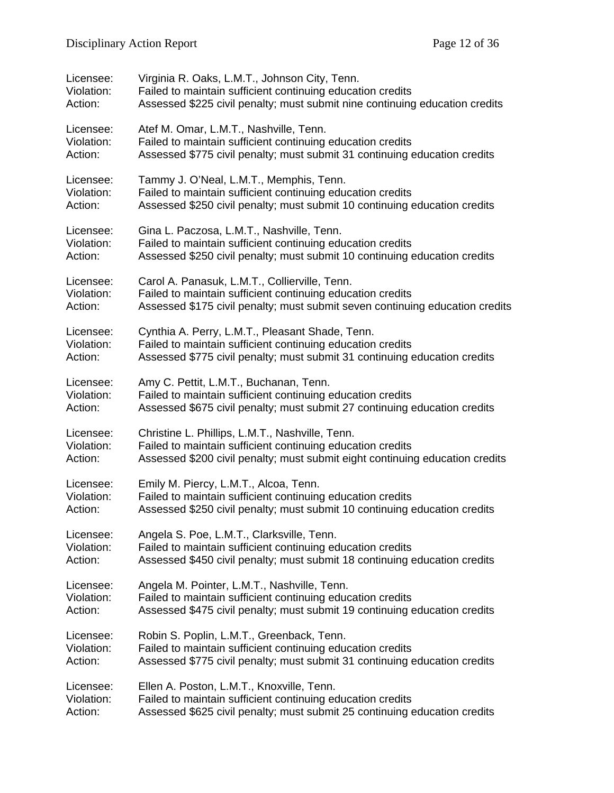| Licensee:  | Virginia R. Oaks, L.M.T., Johnson City, Tenn.                                |
|------------|------------------------------------------------------------------------------|
| Violation: | Failed to maintain sufficient continuing education credits                   |
| Action:    | Assessed \$225 civil penalty; must submit nine continuing education credits  |
| Licensee:  | Atef M. Omar, L.M.T., Nashville, Tenn.                                       |
| Violation: | Failed to maintain sufficient continuing education credits                   |
| Action:    | Assessed \$775 civil penalty; must submit 31 continuing education credits    |
| Licensee:  | Tammy J. O'Neal, L.M.T., Memphis, Tenn.                                      |
| Violation: | Failed to maintain sufficient continuing education credits                   |
| Action:    | Assessed \$250 civil penalty; must submit 10 continuing education credits    |
| Licensee:  | Gina L. Paczosa, L.M.T., Nashville, Tenn.                                    |
| Violation: | Failed to maintain sufficient continuing education credits                   |
| Action:    | Assessed \$250 civil penalty; must submit 10 continuing education credits    |
| Licensee:  | Carol A. Panasuk, L.M.T., Collierville, Tenn.                                |
| Violation: | Failed to maintain sufficient continuing education credits                   |
| Action:    | Assessed \$175 civil penalty; must submit seven continuing education credits |
| Licensee:  | Cynthia A. Perry, L.M.T., Pleasant Shade, Tenn.                              |
| Violation: | Failed to maintain sufficient continuing education credits                   |
| Action:    | Assessed \$775 civil penalty; must submit 31 continuing education credits    |
| Licensee:  | Amy C. Pettit, L.M.T., Buchanan, Tenn.                                       |
| Violation: | Failed to maintain sufficient continuing education credits                   |
| Action:    | Assessed \$675 civil penalty; must submit 27 continuing education credits    |
| Licensee:  | Christine L. Phillips, L.M.T., Nashville, Tenn.                              |
| Violation: | Failed to maintain sufficient continuing education credits                   |
| Action:    | Assessed \$200 civil penalty; must submit eight continuing education credits |
| Licensee:  | Emily M. Piercy, L.M.T., Alcoa, Tenn.                                        |
| Violation: | Failed to maintain sufficient continuing education credits                   |
| Action:    | Assessed \$250 civil penalty; must submit 10 continuing education credits    |
| Licensee:  | Angela S. Poe, L.M.T., Clarksville, Tenn.                                    |
| Violation: | Failed to maintain sufficient continuing education credits                   |
| Action:    | Assessed \$450 civil penalty; must submit 18 continuing education credits    |
| Licensee:  | Angela M. Pointer, L.M.T., Nashville, Tenn.                                  |
| Violation: | Failed to maintain sufficient continuing education credits                   |
| Action:    | Assessed \$475 civil penalty; must submit 19 continuing education credits    |
| Licensee:  | Robin S. Poplin, L.M.T., Greenback, Tenn.                                    |
| Violation: | Failed to maintain sufficient continuing education credits                   |
| Action:    | Assessed \$775 civil penalty; must submit 31 continuing education credits    |
| Licensee:  | Ellen A. Poston, L.M.T., Knoxville, Tenn.                                    |
| Violation: | Failed to maintain sufficient continuing education credits                   |
| Action:    | Assessed \$625 civil penalty; must submit 25 continuing education credits    |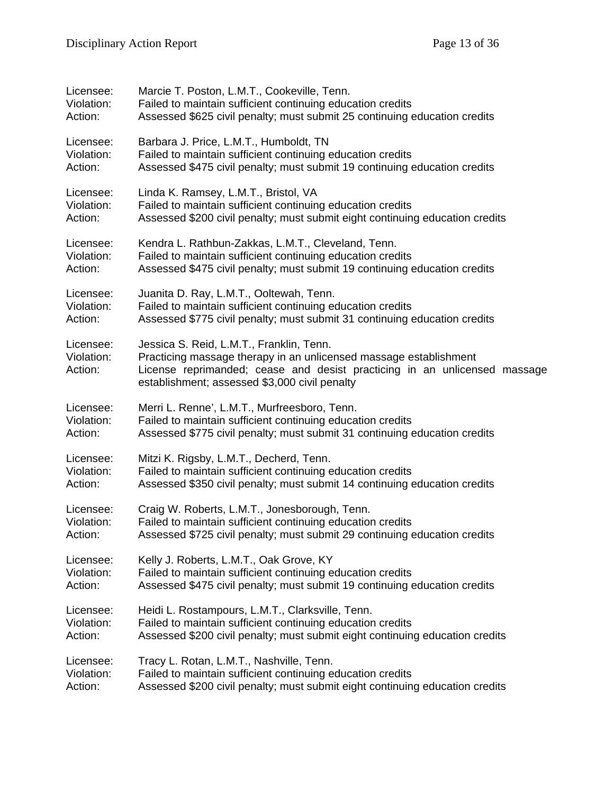| Licensee:                          | Marcie T. Poston, L.M.T., Cookeville, Tenn.                                                                                                                                                                                                 |
|------------------------------------|---------------------------------------------------------------------------------------------------------------------------------------------------------------------------------------------------------------------------------------------|
| Violation:                         | Failed to maintain sufficient continuing education credits                                                                                                                                                                                  |
| Action:                            | Assessed \$625 civil penalty; must submit 25 continuing education credits                                                                                                                                                                   |
| Licensee:                          | Barbara J. Price, L.M.T., Humboldt, TN                                                                                                                                                                                                      |
| Violation:                         | Failed to maintain sufficient continuing education credits                                                                                                                                                                                  |
| Action:                            | Assessed \$475 civil penalty; must submit 19 continuing education credits                                                                                                                                                                   |
| Licensee:                          | Linda K. Ramsey, L.M.T., Bristol, VA                                                                                                                                                                                                        |
| Violation:                         | Failed to maintain sufficient continuing education credits                                                                                                                                                                                  |
| Action:                            | Assessed \$200 civil penalty; must submit eight continuing education credits                                                                                                                                                                |
| Licensee:                          | Kendra L. Rathbun-Zakkas, L.M.T., Cleveland, Tenn.                                                                                                                                                                                          |
| Violation:                         | Failed to maintain sufficient continuing education credits                                                                                                                                                                                  |
| Action:                            | Assessed \$475 civil penalty; must submit 19 continuing education credits                                                                                                                                                                   |
| Licensee:                          | Juanita D. Ray, L.M.T., Ooltewah, Tenn.                                                                                                                                                                                                     |
| Violation:                         | Failed to maintain sufficient continuing education credits                                                                                                                                                                                  |
| Action:                            | Assessed \$775 civil penalty; must submit 31 continuing education credits                                                                                                                                                                   |
| Licensee:<br>Violation:<br>Action: | Jessica S. Reid, L.M.T., Franklin, Tenn.<br>Practicing massage therapy in an unlicensed massage establishment<br>License reprimanded; cease and desist practicing in an unlicensed massage<br>establishment; assessed \$3,000 civil penalty |
| Licensee:                          | Merri L. Renne', L.M.T., Murfreesboro, Tenn.                                                                                                                                                                                                |
| Violation:                         | Failed to maintain sufficient continuing education credits                                                                                                                                                                                  |
| Action:                            | Assessed \$775 civil penalty; must submit 31 continuing education credits                                                                                                                                                                   |
| Licensee:                          | Mitzi K. Rigsby, L.M.T., Decherd, Tenn.                                                                                                                                                                                                     |
| Violation:                         | Failed to maintain sufficient continuing education credits                                                                                                                                                                                  |
| Action:                            | Assessed \$350 civil penalty; must submit 14 continuing education credits                                                                                                                                                                   |
| Licensee:                          | Craig W. Roberts, L.M.T., Jonesborough, Tenn.                                                                                                                                                                                               |
| Violation:                         | Failed to maintain sufficient continuing education credits                                                                                                                                                                                  |
| Action:                            | Assessed \$725 civil penalty; must submit 29 continuing education credits                                                                                                                                                                   |
| Licensee:                          | Kelly J. Roberts, L.M.T., Oak Grove, KY                                                                                                                                                                                                     |
| Violation:                         | Failed to maintain sufficient continuing education credits                                                                                                                                                                                  |
| Action:                            | Assessed \$475 civil penalty; must submit 19 continuing education credits                                                                                                                                                                   |
| Licensee:                          | Heidi L. Rostampours, L.M.T., Clarksville, Tenn.                                                                                                                                                                                            |
| Violation:                         | Failed to maintain sufficient continuing education credits                                                                                                                                                                                  |
| Action:                            | Assessed \$200 civil penalty; must submit eight continuing education credits                                                                                                                                                                |
| Licensee:                          | Tracy L. Rotan, L.M.T., Nashville, Tenn.                                                                                                                                                                                                    |
| Violation:                         | Failed to maintain sufficient continuing education credits                                                                                                                                                                                  |
| Action:                            | Assessed \$200 civil penalty; must submit eight continuing education credits                                                                                                                                                                |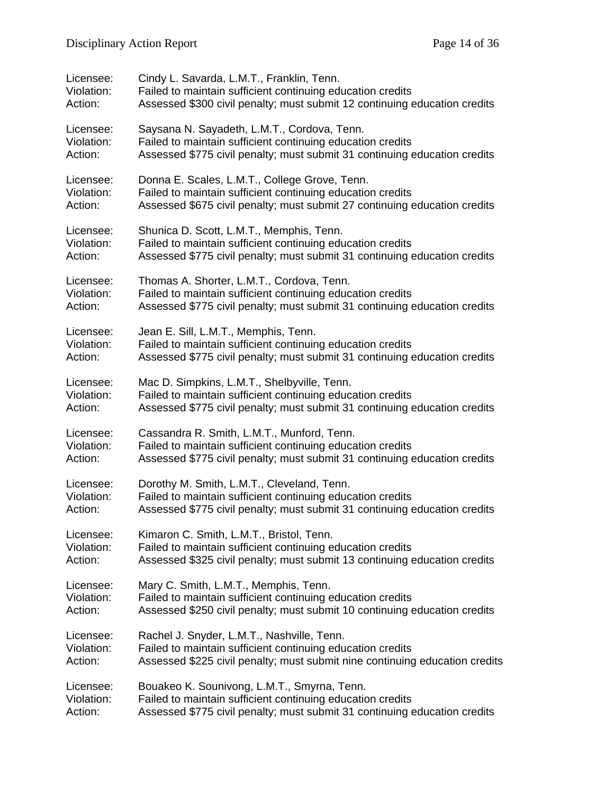| Licensee:  | Cindy L. Savarda, L.M.T., Franklin, Tenn.                                   |
|------------|-----------------------------------------------------------------------------|
| Violation: | Failed to maintain sufficient continuing education credits                  |
| Action:    | Assessed \$300 civil penalty; must submit 12 continuing education credits   |
| Licensee:  | Saysana N. Sayadeth, L.M.T., Cordova, Tenn.                                 |
| Violation: | Failed to maintain sufficient continuing education credits                  |
| Action:    | Assessed \$775 civil penalty; must submit 31 continuing education credits   |
| Licensee:  | Donna E. Scales, L.M.T., College Grove, Tenn.                               |
| Violation: | Failed to maintain sufficient continuing education credits                  |
| Action:    | Assessed \$675 civil penalty; must submit 27 continuing education credits   |
| Licensee:  | Shunica D. Scott, L.M.T., Memphis, Tenn.                                    |
| Violation: | Failed to maintain sufficient continuing education credits                  |
| Action:    | Assessed \$775 civil penalty; must submit 31 continuing education credits   |
| Licensee:  | Thomas A. Shorter, L.M.T., Cordova, Tenn.                                   |
| Violation: | Failed to maintain sufficient continuing education credits                  |
| Action:    | Assessed \$775 civil penalty; must submit 31 continuing education credits   |
| Licensee:  | Jean E. Sill, L.M.T., Memphis, Tenn.                                        |
| Violation: | Failed to maintain sufficient continuing education credits                  |
| Action:    | Assessed \$775 civil penalty; must submit 31 continuing education credits   |
| Licensee:  | Mac D. Simpkins, L.M.T., Shelbyville, Tenn.                                 |
| Violation: | Failed to maintain sufficient continuing education credits                  |
| Action:    | Assessed \$775 civil penalty; must submit 31 continuing education credits   |
| Licensee:  | Cassandra R. Smith, L.M.T., Munford, Tenn.                                  |
| Violation: | Failed to maintain sufficient continuing education credits                  |
| Action:    | Assessed \$775 civil penalty; must submit 31 continuing education credits   |
| Licensee:  | Dorothy M. Smith, L.M.T., Cleveland, Tenn.                                  |
| Violation: | Failed to maintain sufficient continuing education credits                  |
| Action:    | Assessed \$775 civil penalty; must submit 31 continuing education credits   |
| Licensee:  | Kimaron C. Smith, L.M.T., Bristol, Tenn.                                    |
| Violation: | Failed to maintain sufficient continuing education credits                  |
| Action:    | Assessed \$325 civil penalty; must submit 13 continuing education credits   |
| Licensee:  | Mary C. Smith, L.M.T., Memphis, Tenn.                                       |
| Violation: | Failed to maintain sufficient continuing education credits                  |
| Action:    | Assessed \$250 civil penalty; must submit 10 continuing education credits   |
| Licensee:  | Rachel J. Snyder, L.M.T., Nashville, Tenn.                                  |
| Violation: | Failed to maintain sufficient continuing education credits                  |
| Action:    | Assessed \$225 civil penalty; must submit nine continuing education credits |
| Licensee:  | Bouakeo K. Sounivong, L.M.T., Smyrna, Tenn.                                 |
| Violation: | Failed to maintain sufficient continuing education credits                  |
| Action:    | Assessed \$775 civil penalty; must submit 31 continuing education credits   |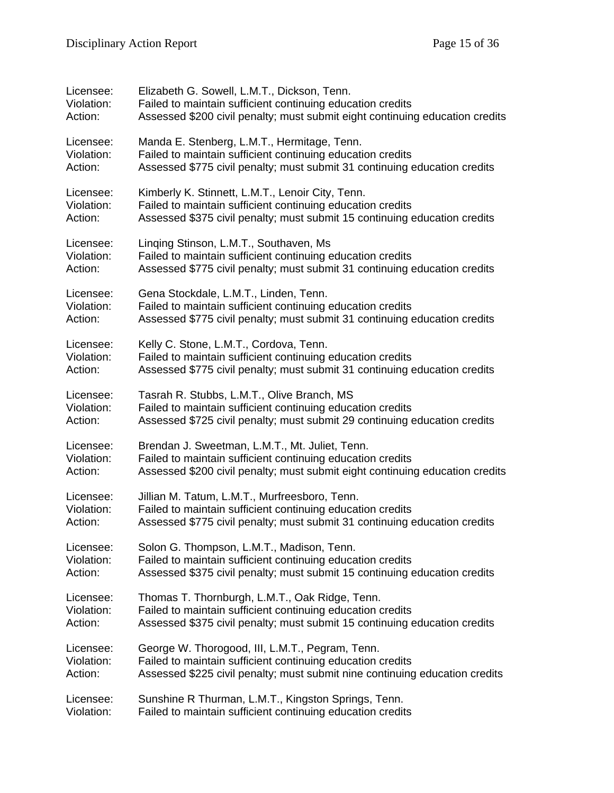| Licensee:  | Elizabeth G. Sowell, L.M.T., Dickson, Tenn.                                  |
|------------|------------------------------------------------------------------------------|
| Violation: | Failed to maintain sufficient continuing education credits                   |
| Action:    | Assessed \$200 civil penalty; must submit eight continuing education credits |
| Licensee:  | Manda E. Stenberg, L.M.T., Hermitage, Tenn.                                  |
| Violation: | Failed to maintain sufficient continuing education credits                   |
| Action:    | Assessed \$775 civil penalty; must submit 31 continuing education credits    |
| Licensee:  | Kimberly K. Stinnett, L.M.T., Lenoir City, Tenn.                             |
| Violation: | Failed to maintain sufficient continuing education credits                   |
| Action:    | Assessed \$375 civil penalty; must submit 15 continuing education credits    |
| Licensee:  | Linging Stinson, L.M.T., Southaven, Ms                                       |
| Violation: | Failed to maintain sufficient continuing education credits                   |
| Action:    | Assessed \$775 civil penalty; must submit 31 continuing education credits    |
| Licensee:  | Gena Stockdale, L.M.T., Linden, Tenn.                                        |
| Violation: | Failed to maintain sufficient continuing education credits                   |
| Action:    | Assessed \$775 civil penalty; must submit 31 continuing education credits    |
| Licensee:  | Kelly C. Stone, L.M.T., Cordova, Tenn.                                       |
| Violation: | Failed to maintain sufficient continuing education credits                   |
| Action:    | Assessed \$775 civil penalty; must submit 31 continuing education credits    |
| Licensee:  | Tasrah R. Stubbs, L.M.T., Olive Branch, MS                                   |
| Violation: | Failed to maintain sufficient continuing education credits                   |
| Action:    | Assessed \$725 civil penalty; must submit 29 continuing education credits    |
| Licensee:  | Brendan J. Sweetman, L.M.T., Mt. Juliet, Tenn.                               |
| Violation: | Failed to maintain sufficient continuing education credits                   |
| Action:    | Assessed \$200 civil penalty; must submit eight continuing education credits |
| Licensee:  | Jillian M. Tatum, L.M.T., Murfreesboro, Tenn.                                |
| Violation: | Failed to maintain sufficient continuing education credits                   |
| Action:    | Assessed \$775 civil penalty; must submit 31 continuing education credits    |
| Licensee:  | Solon G. Thompson, L.M.T., Madison, Tenn.                                    |
| Violation: | Failed to maintain sufficient continuing education credits                   |
| Action:    | Assessed \$375 civil penalty; must submit 15 continuing education credits    |
| Licensee:  | Thomas T. Thornburgh, L.M.T., Oak Ridge, Tenn.                               |
| Violation: | Failed to maintain sufficient continuing education credits                   |
| Action:    | Assessed \$375 civil penalty; must submit 15 continuing education credits    |
| Licensee:  | George W. Thorogood, III, L.M.T., Pegram, Tenn.                              |
| Violation: | Failed to maintain sufficient continuing education credits                   |
| Action:    | Assessed \$225 civil penalty; must submit nine continuing education credits  |
| Licensee:  | Sunshine R Thurman, L.M.T., Kingston Springs, Tenn.                          |
| Violation: | Failed to maintain sufficient continuing education credits                   |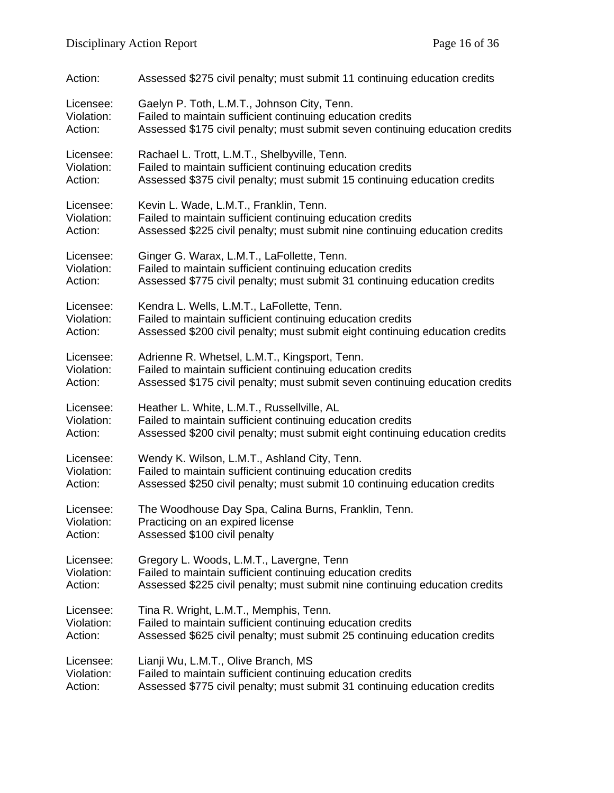| Action:    | Assessed \$275 civil penalty; must submit 11 continuing education credits    |
|------------|------------------------------------------------------------------------------|
| Licensee:  | Gaelyn P. Toth, L.M.T., Johnson City, Tenn.                                  |
| Violation: | Failed to maintain sufficient continuing education credits                   |
| Action:    | Assessed \$175 civil penalty; must submit seven continuing education credits |
| Licensee:  | Rachael L. Trott, L.M.T., Shelbyville, Tenn.                                 |
| Violation: | Failed to maintain sufficient continuing education credits                   |
| Action:    | Assessed \$375 civil penalty; must submit 15 continuing education credits    |
| Licensee:  | Kevin L. Wade, L.M.T., Franklin, Tenn.                                       |
| Violation: | Failed to maintain sufficient continuing education credits                   |
| Action:    | Assessed \$225 civil penalty; must submit nine continuing education credits  |
| Licensee:  | Ginger G. Warax, L.M.T., LaFollette, Tenn.                                   |
| Violation: | Failed to maintain sufficient continuing education credits                   |
| Action:    | Assessed \$775 civil penalty; must submit 31 continuing education credits    |
| Licensee:  | Kendra L. Wells, L.M.T., LaFollette, Tenn.                                   |
| Violation: | Failed to maintain sufficient continuing education credits                   |
| Action:    | Assessed \$200 civil penalty; must submit eight continuing education credits |
| Licensee:  | Adrienne R. Whetsel, L.M.T., Kingsport, Tenn.                                |
| Violation: | Failed to maintain sufficient continuing education credits                   |
| Action:    | Assessed \$175 civil penalty; must submit seven continuing education credits |
| Licensee:  | Heather L. White, L.M.T., Russellville, AL                                   |
| Violation: | Failed to maintain sufficient continuing education credits                   |
| Action:    | Assessed \$200 civil penalty; must submit eight continuing education credits |
| Licensee:  | Wendy K. Wilson, L.M.T., Ashland City, Tenn.                                 |
| Violation: | Failed to maintain sufficient continuing education credits                   |
| Action:    | Assessed \$250 civil penalty; must submit 10 continuing education credits    |
| Licensee:  | The Woodhouse Day Spa, Calina Burns, Franklin, Tenn.                         |
| Violation: | Practicing on an expired license                                             |
| Action:    | Assessed \$100 civil penalty                                                 |
| Licensee:  | Gregory L. Woods, L.M.T., Lavergne, Tenn                                     |
| Violation: | Failed to maintain sufficient continuing education credits                   |
| Action:    | Assessed \$225 civil penalty; must submit nine continuing education credits  |
| Licensee:  | Tina R. Wright, L.M.T., Memphis, Tenn.                                       |
| Violation: | Failed to maintain sufficient continuing education credits                   |
| Action:    | Assessed \$625 civil penalty; must submit 25 continuing education credits    |
| Licensee:  | Lianji Wu, L.M.T., Olive Branch, MS                                          |
| Violation: | Failed to maintain sufficient continuing education credits                   |
| Action:    | Assessed \$775 civil penalty; must submit 31 continuing education credits    |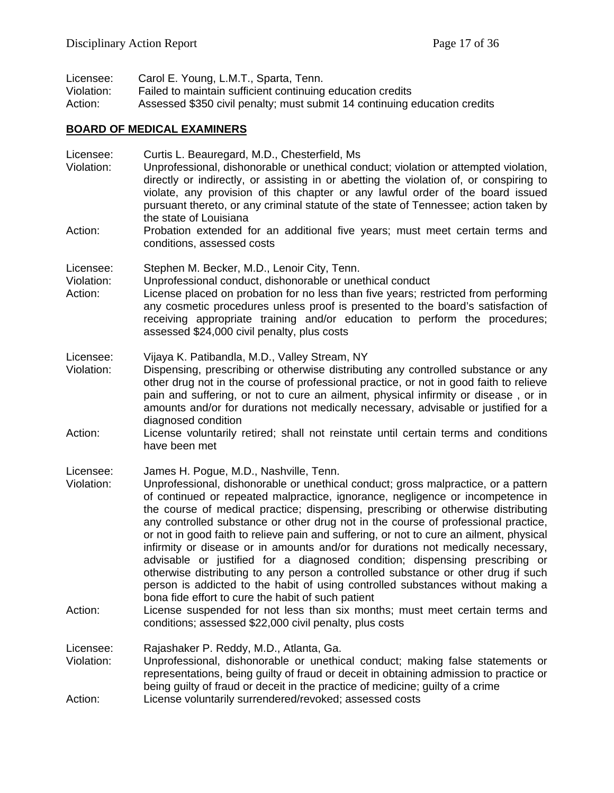| Licensee:  | Carol E. Young, L.M.T., Sparta, Tenn.                                     |
|------------|---------------------------------------------------------------------------|
| Violation: | Failed to maintain sufficient continuing education credits                |
| Action:    | Assessed \$350 civil penalty; must submit 14 continuing education credits |

# **BOARD OF MEDICAL EXAMINERS**

| Licensee:<br>Violation:            | Curtis L. Beauregard, M.D., Chesterfield, Ms<br>Unprofessional, dishonorable or unethical conduct; violation or attempted violation,<br>directly or indirectly, or assisting in or abetting the violation of, or conspiring to<br>violate, any provision of this chapter or any lawful order of the board issued<br>pursuant thereto, or any criminal statute of the state of Tennessee; action taken by<br>the state of Louisiana                                                                                                                                                                                                                                                                                                                                                                                                                                                                                                                                   |
|------------------------------------|----------------------------------------------------------------------------------------------------------------------------------------------------------------------------------------------------------------------------------------------------------------------------------------------------------------------------------------------------------------------------------------------------------------------------------------------------------------------------------------------------------------------------------------------------------------------------------------------------------------------------------------------------------------------------------------------------------------------------------------------------------------------------------------------------------------------------------------------------------------------------------------------------------------------------------------------------------------------|
| Action:                            | Probation extended for an additional five years; must meet certain terms and<br>conditions, assessed costs                                                                                                                                                                                                                                                                                                                                                                                                                                                                                                                                                                                                                                                                                                                                                                                                                                                           |
| Licensee:<br>Violation:<br>Action: | Stephen M. Becker, M.D., Lenoir City, Tenn.<br>Unprofessional conduct, dishonorable or unethical conduct<br>License placed on probation for no less than five years; restricted from performing<br>any cosmetic procedures unless proof is presented to the board's satisfaction of<br>receiving appropriate training and/or education to perform the procedures;<br>assessed \$24,000 civil penalty, plus costs                                                                                                                                                                                                                                                                                                                                                                                                                                                                                                                                                     |
| Licensee:<br>Violation:            | Vijaya K. Patibandla, M.D., Valley Stream, NY<br>Dispensing, prescribing or otherwise distributing any controlled substance or any<br>other drug not in the course of professional practice, or not in good faith to relieve<br>pain and suffering, or not to cure an ailment, physical infirmity or disease, or in<br>amounts and/or for durations not medically necessary, advisable or justified for a<br>diagnosed condition                                                                                                                                                                                                                                                                                                                                                                                                                                                                                                                                     |
| Action:                            | License voluntarily retired; shall not reinstate until certain terms and conditions<br>have been met                                                                                                                                                                                                                                                                                                                                                                                                                                                                                                                                                                                                                                                                                                                                                                                                                                                                 |
| Licensee:<br>Violation:<br>Action: | James H. Pogue, M.D., Nashville, Tenn.<br>Unprofessional, dishonorable or unethical conduct; gross malpractice, or a pattern<br>of continued or repeated malpractice, ignorance, negligence or incompetence in<br>the course of medical practice; dispensing, prescribing or otherwise distributing<br>any controlled substance or other drug not in the course of professional practice,<br>or not in good faith to relieve pain and suffering, or not to cure an ailment, physical<br>infirmity or disease or in amounts and/or for durations not medically necessary,<br>advisable or justified for a diagnosed condition; dispensing prescribing or<br>otherwise distributing to any person a controlled substance or other drug if such<br>person is addicted to the habit of using controlled substances without making a<br>bona fide effort to cure the habit of such patient<br>License suspended for not less than six months; must meet certain terms and |
|                                    | conditions; assessed \$22,000 civil penalty, plus costs                                                                                                                                                                                                                                                                                                                                                                                                                                                                                                                                                                                                                                                                                                                                                                                                                                                                                                              |
| Licensee:<br>Violation:<br>Action: | Rajashaker P. Reddy, M.D., Atlanta, Ga.<br>Unprofessional, dishonorable or unethical conduct; making false statements or<br>representations, being guilty of fraud or deceit in obtaining admission to practice or<br>being guilty of fraud or deceit in the practice of medicine; guilty of a crime<br>License voluntarily surrendered/revoked; assessed costs                                                                                                                                                                                                                                                                                                                                                                                                                                                                                                                                                                                                      |
|                                    |                                                                                                                                                                                                                                                                                                                                                                                                                                                                                                                                                                                                                                                                                                                                                                                                                                                                                                                                                                      |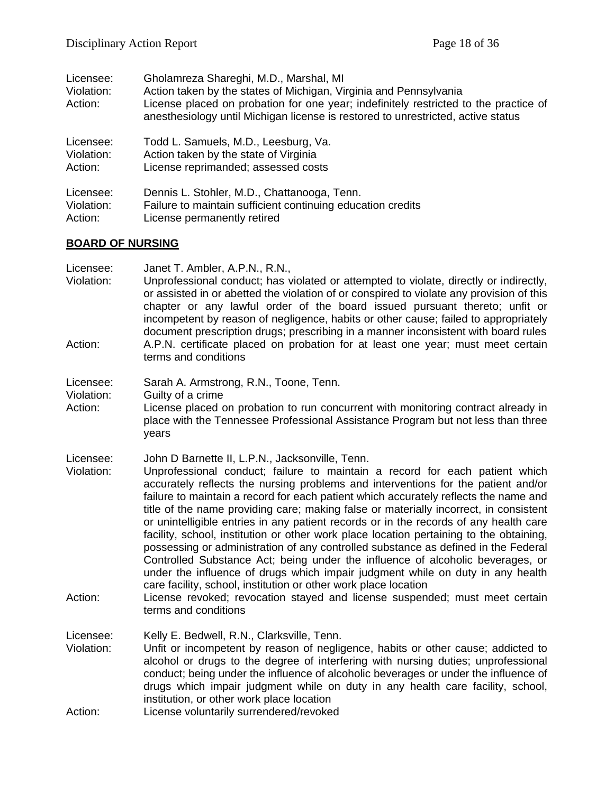| Licensee:<br>Violation:<br>Action: | Gholamreza Shareghi, M.D., Marshal, MI<br>Action taken by the states of Michigan, Virginia and Pennsylvania<br>License placed on probation for one year; indefinitely restricted to the practice of<br>anesthesiology until Michigan license is restored to unrestricted, active status |
|------------------------------------|-----------------------------------------------------------------------------------------------------------------------------------------------------------------------------------------------------------------------------------------------------------------------------------------|
| Licensee:                          | Todd L. Samuels, M.D., Leesburg, Va.                                                                                                                                                                                                                                                    |
| Violation:                         | Action taken by the state of Virginia                                                                                                                                                                                                                                                   |
| Action:                            | License reprimanded; assessed costs                                                                                                                                                                                                                                                     |
| Licensee:                          | Dennis L. Stohler, M.D., Chattanooga, Tenn.                                                                                                                                                                                                                                             |
| Violation:                         | Failure to maintain sufficient continuing education credits                                                                                                                                                                                                                             |
| Action:                            | License permanently retired                                                                                                                                                                                                                                                             |

## **BOARD OF NURSING**

| Licensee:<br>Violation:<br>Action: | Janet T. Ambler, A.P.N., R.N.,<br>Unprofessional conduct; has violated or attempted to violate, directly or indirectly,<br>or assisted in or abetted the violation of or conspired to violate any provision of this<br>chapter or any lawful order of the board issued pursuant thereto; unfit or<br>incompetent by reason of negligence, habits or other cause; failed to appropriately<br>document prescription drugs; prescribing in a manner inconsistent with board rules<br>A.P.N. certificate placed on probation for at least one year; must meet certain                                                                                                                                                                                                                                                                                                                                                                                                                                                            |
|------------------------------------|------------------------------------------------------------------------------------------------------------------------------------------------------------------------------------------------------------------------------------------------------------------------------------------------------------------------------------------------------------------------------------------------------------------------------------------------------------------------------------------------------------------------------------------------------------------------------------------------------------------------------------------------------------------------------------------------------------------------------------------------------------------------------------------------------------------------------------------------------------------------------------------------------------------------------------------------------------------------------------------------------------------------------|
|                                    | terms and conditions                                                                                                                                                                                                                                                                                                                                                                                                                                                                                                                                                                                                                                                                                                                                                                                                                                                                                                                                                                                                         |
| Licensee:<br>Violation:<br>Action: | Sarah A. Armstrong, R.N., Toone, Tenn.<br>Guilty of a crime<br>License placed on probation to run concurrent with monitoring contract already in<br>place with the Tennessee Professional Assistance Program but not less than three<br>years                                                                                                                                                                                                                                                                                                                                                                                                                                                                                                                                                                                                                                                                                                                                                                                |
| Licensee:<br>Violation:<br>Action: | John D Barnette II, L.P.N., Jacksonville, Tenn.<br>Unprofessional conduct; failure to maintain a record for each patient which<br>accurately reflects the nursing problems and interventions for the patient and/or<br>failure to maintain a record for each patient which accurately reflects the name and<br>title of the name providing care; making false or materially incorrect, in consistent<br>or unintelligible entries in any patient records or in the records of any health care<br>facility, school, institution or other work place location pertaining to the obtaining,<br>possessing or administration of any controlled substance as defined in the Federal<br>Controlled Substance Act; being under the influence of alcoholic beverages, or<br>under the influence of drugs which impair judgment while on duty in any health<br>care facility, school, institution or other work place location<br>License revoked; revocation stayed and license suspended; must meet certain<br>terms and conditions |
| Licensee:<br>Violation:<br>Action: | Kelly E. Bedwell, R.N., Clarksville, Tenn.<br>Unfit or incompetent by reason of negligence, habits or other cause; addicted to<br>alcohol or drugs to the degree of interfering with nursing duties; unprofessional<br>conduct; being under the influence of alcoholic beverages or under the influence of<br>drugs which impair judgment while on duty in any health care facility, school,<br>institution, or other work place location<br>License voluntarily surrendered/revoked                                                                                                                                                                                                                                                                                                                                                                                                                                                                                                                                         |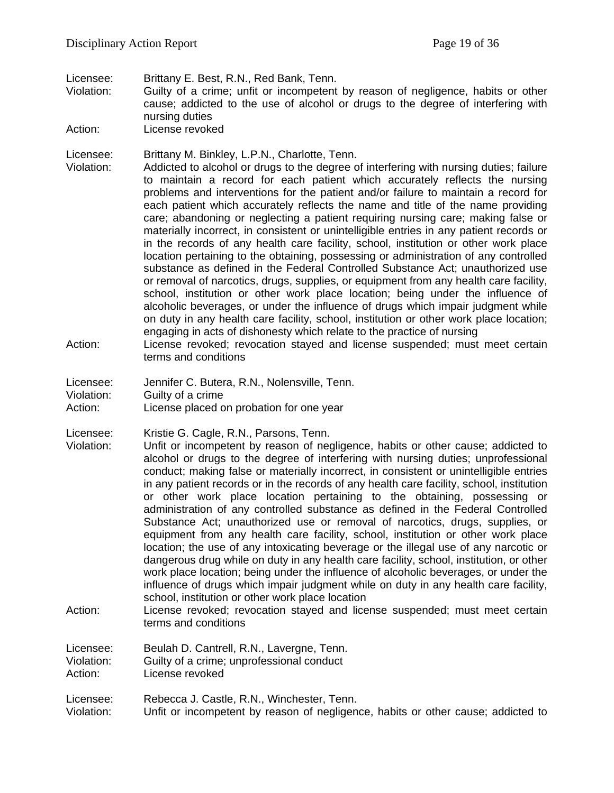Licensee: Brittany E. Best, R.N., Red Bank, Tenn.

Guilty of a crime; unfit or incompetent by reason of negligence, habits or other cause; addicted to the use of alcohol or drugs to the degree of interfering with nursing duties

Action: License revoked

Licensee: Brittany M. Binkley, L.P.N., Charlotte, Tenn.

Violation: Addicted to alcohol or drugs to the degree of interfering with nursing duties; failure to maintain a record for each patient which accurately reflects the nursing problems and interventions for the patient and/or failure to maintain a record for each patient which accurately reflects the name and title of the name providing care; abandoning or neglecting a patient requiring nursing care; making false or materially incorrect, in consistent or unintelligible entries in any patient records or in the records of any health care facility, school, institution or other work place location pertaining to the obtaining, possessing or administration of any controlled substance as defined in the Federal Controlled Substance Act; unauthorized use or removal of narcotics, drugs, supplies, or equipment from any health care facility, school, institution or other work place location; being under the influence of alcoholic beverages, or under the influence of drugs which impair judgment while on duty in any health care facility, school, institution or other work place location; engaging in acts of dishonesty which relate to the practice of nursing

- Action: License revoked; revocation stayed and license suspended; must meet certain terms and conditions
- Licensee: Jennifer C. Butera, R.N., Nolensville, Tenn. Violation: Guilty of a crime Action: License placed on probation for one year

Licensee: Kristie G. Cagle, R.N., Parsons, Tenn.

- Violation: Unfit or incompetent by reason of negligence, habits or other cause; addicted to alcohol or drugs to the degree of interfering with nursing duties; unprofessional conduct; making false or materially incorrect, in consistent or unintelligible entries in any patient records or in the records of any health care facility, school, institution or other work place location pertaining to the obtaining, possessing or administration of any controlled substance as defined in the Federal Controlled Substance Act; unauthorized use or removal of narcotics, drugs, supplies, or equipment from any health care facility, school, institution or other work place location; the use of any intoxicating beverage or the illegal use of any narcotic or dangerous drug while on duty in any health care facility, school, institution, or other work place location; being under the influence of alcoholic beverages, or under the influence of drugs which impair judgment while on duty in any health care facility, school, institution or other work place location
- Action: License revoked; revocation stayed and license suspended; must meet certain terms and conditions

Licensee: Beulah D. Cantrell, R.N., Lavergne, Tenn. Violation: Guilty of a crime; unprofessional conduct<br>Action: License revoked License revoked

Licensee: Rebecca J. Castle, R.N., Winchester, Tenn.

Violation: Unfit or incompetent by reason of negligence, habits or other cause; addicted to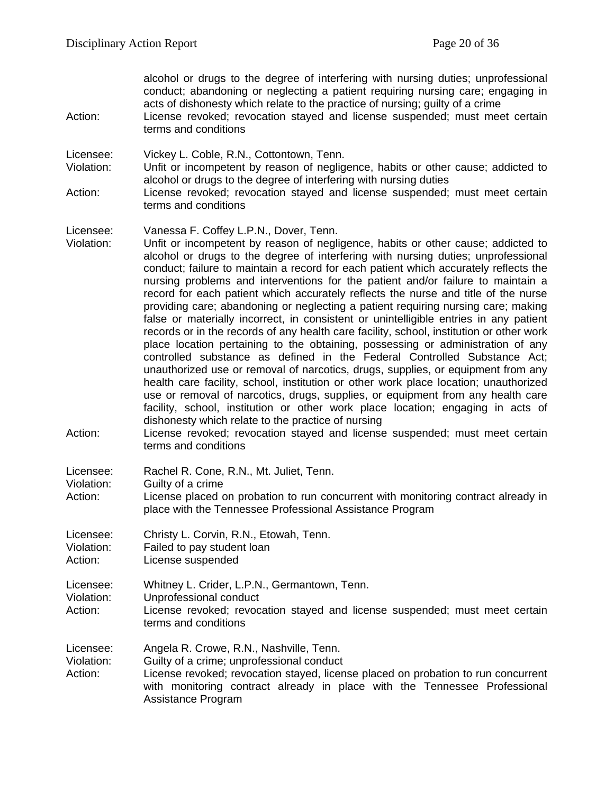alcohol or drugs to the degree of interfering with nursing duties; unprofessional conduct; abandoning or neglecting a patient requiring nursing care; engaging in acts of dishonesty which relate to the practice of nursing; guilty of a crime

Action: License revoked; revocation stayed and license suspended; must meet certain terms and conditions

Licensee: Vickey L. Coble, R.N., Cottontown, Tenn.

- Violation: Unfit or incompetent by reason of negligence, habits or other cause; addicted to alcohol or drugs to the degree of interfering with nursing duties
- Action: License revoked; revocation stayed and license suspended; must meet certain terms and conditions

Licensee: Vanessa F. Coffey L.P.N., Dover, Tenn.

- Violation: Unfit or incompetent by reason of negligence, habits or other cause; addicted to alcohol or drugs to the degree of interfering with nursing duties; unprofessional conduct; failure to maintain a record for each patient which accurately reflects the nursing problems and interventions for the patient and/or failure to maintain a record for each patient which accurately reflects the nurse and title of the nurse providing care; abandoning or neglecting a patient requiring nursing care; making false or materially incorrect, in consistent or unintelligible entries in any patient records or in the records of any health care facility, school, institution or other work place location pertaining to the obtaining, possessing or administration of any controlled substance as defined in the Federal Controlled Substance Act; unauthorized use or removal of narcotics, drugs, supplies, or equipment from any health care facility, school, institution or other work place location; unauthorized use or removal of narcotics, drugs, supplies, or equipment from any health care facility, school, institution or other work place location; engaging in acts of dishonesty which relate to the practice of nursing
- Action: License revoked; revocation stayed and license suspended; must meet certain terms and conditions

Licensee: Rachel R. Cone, R.N., Mt. Juliet, Tenn.

Violation: Guilty of a crime

Action: License placed on probation to run concurrent with monitoring contract already in place with the Tennessee Professional Assistance Program

Licensee: Christy L. Corvin, R.N., Etowah, Tenn. Violation: Failed to pay student loan<br>Action: Ficense suspended

License suspended

Licensee: Whitney L. Crider, L.P.N., Germantown, Tenn.

Violation: Unprofessional conduct

Action: License revoked; revocation stayed and license suspended; must meet certain terms and conditions

Licensee: Angela R. Crowe, R.N., Nashville, Tenn.<br>Violation: Guilty of a crime: unprofessional conduct

Violation: Guilty of a crime; unprofessional conduct<br>Action: License revoked: revocation staved. licen

License revoked; revocation stayed, license placed on probation to run concurrent with monitoring contract already in place with the Tennessee Professional Assistance Program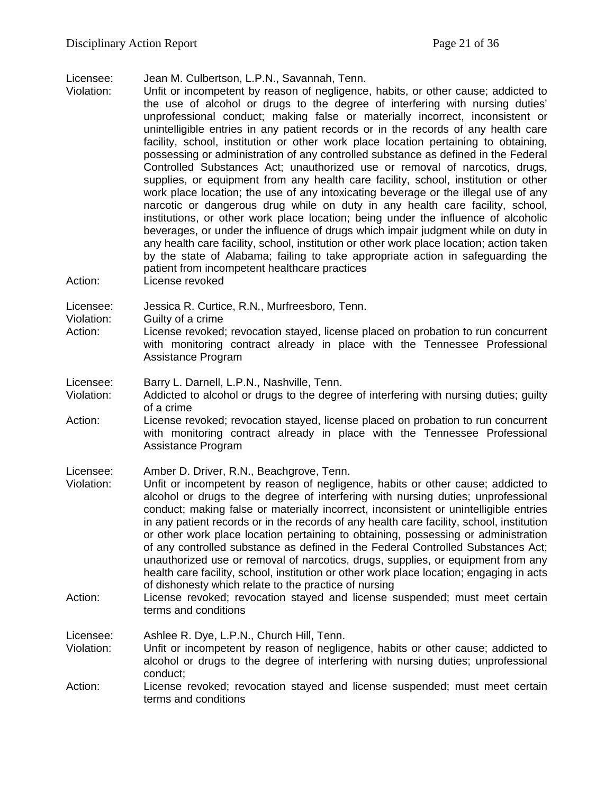Licensee: Jean M. Culbertson, L.P.N., Savannah, Tenn.

- Unfit or incompetent by reason of negligence, habits, or other cause; addicted to the use of alcohol or drugs to the degree of interfering with nursing duties' unprofessional conduct; making false or materially incorrect, inconsistent or unintelligible entries in any patient records or in the records of any health care facility, school, institution or other work place location pertaining to obtaining, possessing or administration of any controlled substance as defined in the Federal Controlled Substances Act; unauthorized use or removal of narcotics, drugs, supplies, or equipment from any health care facility, school, institution or other work place location; the use of any intoxicating beverage or the illegal use of any narcotic or dangerous drug while on duty in any health care facility, school, institutions, or other work place location; being under the influence of alcoholic beverages, or under the influence of drugs which impair judgment while on duty in any health care facility, school, institution or other work place location; action taken by the state of Alabama; failing to take appropriate action in safeguarding the patient from incompetent healthcare practices
- Action: License revoked

Licensee: Jessica R. Curtice, R.N., Murfreesboro, Tenn.

- Violation: Guilty of a crime
- Action: License revoked; revocation stayed, license placed on probation to run concurrent with monitoring contract already in place with the Tennessee Professional Assistance Program

Licensee: Barry L. Darnell, L.P.N., Nashville, Tenn.

- Violation: Addicted to alcohol or drugs to the degree of interfering with nursing duties; guilty of a crime
- Action: License revoked; revocation stayed, license placed on probation to run concurrent with monitoring contract already in place with the Tennessee Professional Assistance Program

Licensee: Amber D. Driver, R.N., Beachgrove, Tenn.

- Violation: Unfit or incompetent by reason of negligence, habits or other cause; addicted to alcohol or drugs to the degree of interfering with nursing duties; unprofessional conduct; making false or materially incorrect, inconsistent or unintelligible entries in any patient records or in the records of any health care facility, school, institution or other work place location pertaining to obtaining, possessing or administration of any controlled substance as defined in the Federal Controlled Substances Act; unauthorized use or removal of narcotics, drugs, supplies, or equipment from any health care facility, school, institution or other work place location; engaging in acts of dishonesty which relate to the practice of nursing
- Action: License revoked; revocation stayed and license suspended; must meet certain terms and conditions

Licensee: Ashlee R. Dye, L.P.N., Church Hill, Tenn. Violation: Unfit or incompetent by reason of negligence, habits or other cause; addicted to alcohol or drugs to the degree of interfering with nursing duties; unprofessional conduct;

Action: License revoked; revocation stayed and license suspended; must meet certain terms and conditions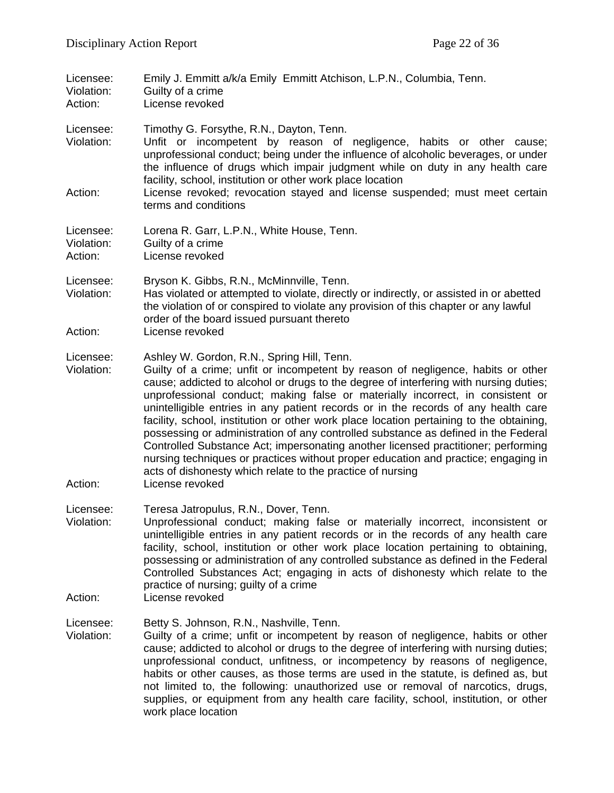| Licensee:<br>Violation:<br>Action: | Emily J. Emmitt a/k/a Emily Emmitt Atchison, L.P.N., Columbia, Tenn.<br>Guilty of a crime<br>License revoked                                                                                                                                                                                                                                                                                                                                                                                                                                                                                                                                                                                                                                                                                                              |
|------------------------------------|---------------------------------------------------------------------------------------------------------------------------------------------------------------------------------------------------------------------------------------------------------------------------------------------------------------------------------------------------------------------------------------------------------------------------------------------------------------------------------------------------------------------------------------------------------------------------------------------------------------------------------------------------------------------------------------------------------------------------------------------------------------------------------------------------------------------------|
| Licensee:<br>Violation:<br>Action: | Timothy G. Forsythe, R.N., Dayton, Tenn.<br>Unfit or incompetent by reason of negligence, habits or other cause;<br>unprofessional conduct; being under the influence of alcoholic beverages, or under<br>the influence of drugs which impair judgment while on duty in any health care<br>facility, school, institution or other work place location<br>License revoked; revocation stayed and license suspended; must meet certain                                                                                                                                                                                                                                                                                                                                                                                      |
|                                    | terms and conditions                                                                                                                                                                                                                                                                                                                                                                                                                                                                                                                                                                                                                                                                                                                                                                                                      |
| Licensee:<br>Violation:<br>Action: | Lorena R. Garr, L.P.N., White House, Tenn.<br>Guilty of a crime<br>License revoked                                                                                                                                                                                                                                                                                                                                                                                                                                                                                                                                                                                                                                                                                                                                        |
| Licensee:<br>Violation:            | Bryson K. Gibbs, R.N., McMinnville, Tenn.<br>Has violated or attempted to violate, directly or indirectly, or assisted in or abetted<br>the violation of or conspired to violate any provision of this chapter or any lawful<br>order of the board issued pursuant thereto                                                                                                                                                                                                                                                                                                                                                                                                                                                                                                                                                |
| Action:                            | License revoked                                                                                                                                                                                                                                                                                                                                                                                                                                                                                                                                                                                                                                                                                                                                                                                                           |
| Licensee:<br>Violation:            | Ashley W. Gordon, R.N., Spring Hill, Tenn.<br>Guilty of a crime; unfit or incompetent by reason of negligence, habits or other<br>cause; addicted to alcohol or drugs to the degree of interfering with nursing duties;<br>unprofessional conduct; making false or materially incorrect, in consistent or<br>unintelligible entries in any patient records or in the records of any health care<br>facility, school, institution or other work place location pertaining to the obtaining,<br>possessing or administration of any controlled substance as defined in the Federal<br>Controlled Substance Act; impersonating another licensed practitioner; performing<br>nursing techniques or practices without proper education and practice; engaging in<br>acts of dishonesty which relate to the practice of nursing |
| Action:                            | License revoked                                                                                                                                                                                                                                                                                                                                                                                                                                                                                                                                                                                                                                                                                                                                                                                                           |
| Licensee:<br>Violation:            | Teresa Jatropulus, R.N., Dover, Tenn.<br>Unprofessional conduct; making false or materially incorrect, inconsistent or<br>unintelligible entries in any patient records or in the records of any health care<br>facility, school, institution or other work place location pertaining to obtaining,<br>possessing or administration of any controlled substance as defined in the Federal<br>Controlled Substances Act; engaging in acts of dishonesty which relate to the<br>practice of nursing; guilty of a crime                                                                                                                                                                                                                                                                                                      |
| Action:                            | License revoked                                                                                                                                                                                                                                                                                                                                                                                                                                                                                                                                                                                                                                                                                                                                                                                                           |
| Licensee:<br>Violation:            | Betty S. Johnson, R.N., Nashville, Tenn.<br>Guilty of a crime; unfit or incompetent by reason of negligence, habits or other<br>cause; addicted to alcohol or drugs to the degree of interfering with nursing duties;<br>unprofessional conduct, unfitness, or incompetency by reasons of negligence,<br>habits or other causes, as those terms are used in the statute, is defined as, but<br>not limited to, the following: unauthorized use or removal of narcotics, drugs,<br>supplies, or equipment from any health care facility, school, institution, or other<br>work place location                                                                                                                                                                                                                              |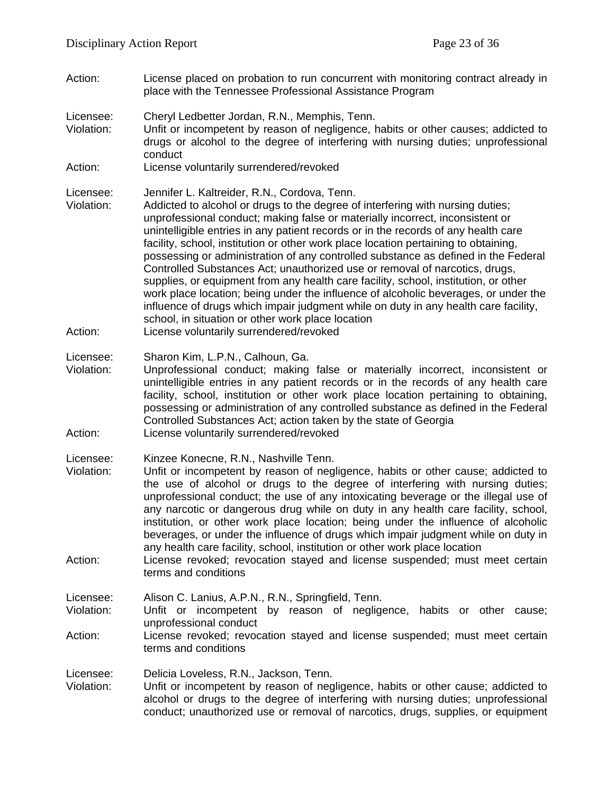- Action: License placed on probation to run concurrent with monitoring contract already in place with the Tennessee Professional Assistance Program Licensee: Cheryl Ledbetter Jordan, R.N., Memphis, Tenn. Violation: Unfit or incompetent by reason of negligence, habits or other causes; addicted to drugs or alcohol to the degree of interfering with nursing duties; unprofessional
- conduct
- Action: License voluntarily surrendered/revoked
- Licensee: Jennifer L. Kaltreider, R.N., Cordova, Tenn.
- Violation: Addicted to alcohol or drugs to the degree of interfering with nursing duties; unprofessional conduct; making false or materially incorrect, inconsistent or unintelligible entries in any patient records or in the records of any health care facility, school, institution or other work place location pertaining to obtaining, possessing or administration of any controlled substance as defined in the Federal Controlled Substances Act; unauthorized use or removal of narcotics, drugs, supplies, or equipment from any health care facility, school, institution, or other work place location; being under the influence of alcoholic beverages, or under the influence of drugs which impair judgment while on duty in any health care facility, school, in situation or other work place location Action: License voluntarily surrendered/revoked
- Licensee: Sharon Kim, L.P.N., Calhoun, Ga.
- Violation: Unprofessional conduct; making false or materially incorrect, inconsistent or unintelligible entries in any patient records or in the records of any health care facility, school, institution or other work place location pertaining to obtaining, possessing or administration of any controlled substance as defined in the Federal Controlled Substances Act; action taken by the state of Georgia Action: License voluntarily surrendered/revoked
- Licensee: Kinzee Konecne, R.N., Nashville Tenn.
- Violation: Unfit or incompetent by reason of negligence, habits or other cause; addicted to the use of alcohol or drugs to the degree of interfering with nursing duties; unprofessional conduct; the use of any intoxicating beverage or the illegal use of any narcotic or dangerous drug while on duty in any health care facility, school, institution, or other work place location; being under the influence of alcoholic beverages, or under the influence of drugs which impair judgment while on duty in any health care facility, school, institution or other work place location
- Action: License revoked; revocation stayed and license suspended; must meet certain terms and conditions

Licensee: Alison C. Lanius, A.P.N., R.N., Springfield, Tenn.

- Violation: Unfit or incompetent by reason of negligence, habits or other cause; unprofessional conduct
- Action: License revoked; revocation stayed and license suspended; must meet certain terms and conditions

Licensee: Delicia Loveless, R.N., Jackson, Tenn.

Violation: Unfit or incompetent by reason of negligence, habits or other cause; addicted to alcohol or drugs to the degree of interfering with nursing duties; unprofessional conduct; unauthorized use or removal of narcotics, drugs, supplies, or equipment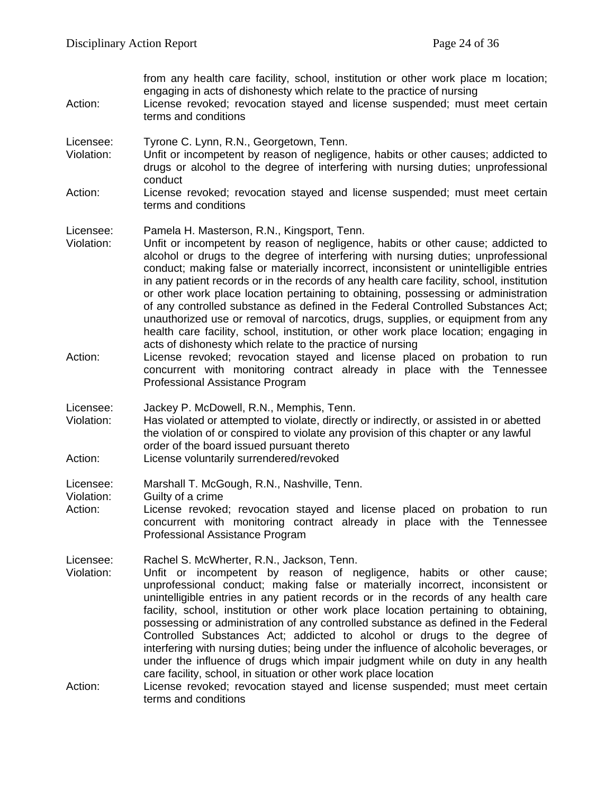from any health care facility, school, institution or other work place m location; engaging in acts of dishonesty which relate to the practice of nursing Action: License revoked; revocation stayed and license suspended; must meet certain terms and conditions Licensee: Tyrone C. Lynn, R.N., Georgetown, Tenn. Violation: Unfit or incompetent by reason of negligence, habits or other causes; addicted to drugs or alcohol to the degree of interfering with nursing duties; unprofessional conduct Action: License revoked; revocation stayed and license suspended; must meet certain terms and conditions Licensee: Pamela H. Masterson, R.N., Kingsport, Tenn. Violation: Unfit or incompetent by reason of negligence, habits or other cause; addicted to alcohol or drugs to the degree of interfering with nursing duties; unprofessional conduct; making false or materially incorrect, inconsistent or unintelligible entries in any patient records or in the records of any health care facility, school, institution or other work place location pertaining to obtaining, possessing or administration of any controlled substance as defined in the Federal Controlled Substances Act; unauthorized use or removal of narcotics, drugs, supplies, or equipment from any health care facility, school, institution, or other work place location; engaging in acts of dishonesty which relate to the practice of nursing Action: License revoked; revocation stayed and license placed on probation to run concurrent with monitoring contract already in place with the Tennessee Professional Assistance Program Licensee: Jackey P. McDowell, R.N., Memphis, Tenn. Violation: Has violated or attempted to violate, directly or indirectly, or assisted in or abetted the violation of or conspired to violate any provision of this chapter or any lawful order of the board issued pursuant thereto Action: License voluntarily surrendered/revoked Licensee: Marshall T. McGough, R.N., Nashville, Tenn. Violation: Guilty of a crime Action: License revoked; revocation stayed and license placed on probation to run concurrent with monitoring contract already in place with the Tennessee Professional Assistance Program Licensee: Rachel S. McWherter, R.N., Jackson, Tenn.<br>Violation: Unfit or incompetent by reason of no Unfit or incompetent by reason of negligence, habits or other cause; unprofessional conduct; making false or materially incorrect, inconsistent or unintelligible entries in any patient records or in the records of any health care facility, school, institution or other work place location pertaining to obtaining, possessing or administration of any controlled substance as defined in the Federal Controlled Substances Act; addicted to alcohol or drugs to the degree of interfering with nursing duties; being under the influence of alcoholic beverages, or under the influence of drugs which impair judgment while on duty in any health care facility, school, in situation or other work place location Action: License revoked; revocation stayed and license suspended; must meet certain terms and conditions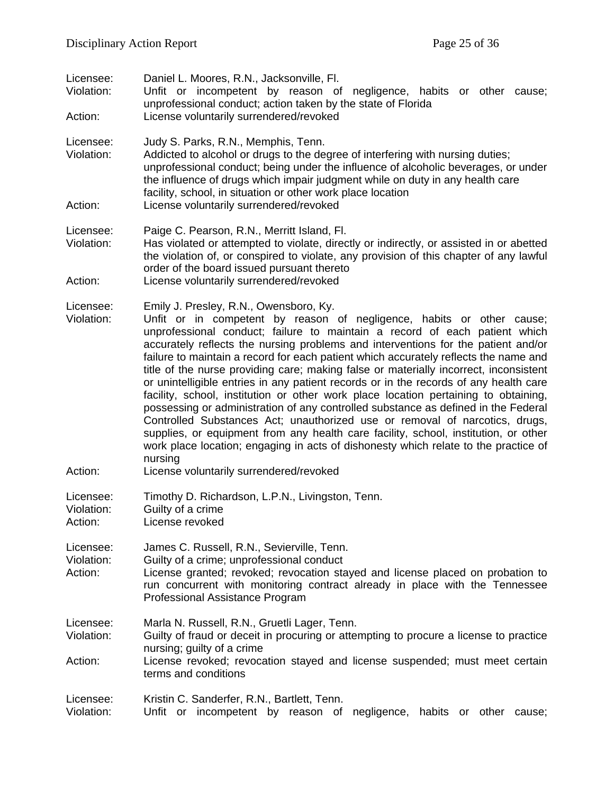| Licensee:<br>Violation:<br>Action: | Daniel L. Moores, R.N., Jacksonville, Fl.<br>Unfit or incompetent by reason of negligence, habits or other cause;<br>unprofessional conduct; action taken by the state of Florida<br>License voluntarily surrendered/revoked                                                                                                                                                                                                                                                                                                                                                                                                                                                                                                                                                                                                                                                                                                                                                                                      |
|------------------------------------|-------------------------------------------------------------------------------------------------------------------------------------------------------------------------------------------------------------------------------------------------------------------------------------------------------------------------------------------------------------------------------------------------------------------------------------------------------------------------------------------------------------------------------------------------------------------------------------------------------------------------------------------------------------------------------------------------------------------------------------------------------------------------------------------------------------------------------------------------------------------------------------------------------------------------------------------------------------------------------------------------------------------|
| Licensee:<br>Violation:<br>Action: | Judy S. Parks, R.N., Memphis, Tenn.<br>Addicted to alcohol or drugs to the degree of interfering with nursing duties;<br>unprofessional conduct; being under the influence of alcoholic beverages, or under<br>the influence of drugs which impair judgment while on duty in any health care<br>facility, school, in situation or other work place location<br>License voluntarily surrendered/revoked                                                                                                                                                                                                                                                                                                                                                                                                                                                                                                                                                                                                            |
|                                    |                                                                                                                                                                                                                                                                                                                                                                                                                                                                                                                                                                                                                                                                                                                                                                                                                                                                                                                                                                                                                   |
| Licensee:<br>Violation:            | Paige C. Pearson, R.N., Merritt Island, Fl.<br>Has violated or attempted to violate, directly or indirectly, or assisted in or abetted<br>the violation of, or conspired to violate, any provision of this chapter of any lawful<br>order of the board issued pursuant thereto                                                                                                                                                                                                                                                                                                                                                                                                                                                                                                                                                                                                                                                                                                                                    |
| Action:                            | License voluntarily surrendered/revoked                                                                                                                                                                                                                                                                                                                                                                                                                                                                                                                                                                                                                                                                                                                                                                                                                                                                                                                                                                           |
| Licensee:<br>Violation:            | Emily J. Presley, R.N., Owensboro, Ky.<br>Unfit or in competent by reason of negligence, habits or other cause;<br>unprofessional conduct; failure to maintain a record of each patient which<br>accurately reflects the nursing problems and interventions for the patient and/or<br>failure to maintain a record for each patient which accurately reflects the name and<br>title of the nurse providing care; making false or materially incorrect, inconsistent<br>or unintelligible entries in any patient records or in the records of any health care<br>facility, school, institution or other work place location pertaining to obtaining,<br>possessing or administration of any controlled substance as defined in the Federal<br>Controlled Substances Act; unauthorized use or removal of narcotics, drugs,<br>supplies, or equipment from any health care facility, school, institution, or other<br>work place location; engaging in acts of dishonesty which relate to the practice of<br>nursing |
| Action:                            | License voluntarily surrendered/revoked                                                                                                                                                                                                                                                                                                                                                                                                                                                                                                                                                                                                                                                                                                                                                                                                                                                                                                                                                                           |
| Licensee:<br>Violation:<br>Action: | Timothy D. Richardson, L.P.N., Livingston, Tenn.<br>Guilty of a crime<br>License revoked                                                                                                                                                                                                                                                                                                                                                                                                                                                                                                                                                                                                                                                                                                                                                                                                                                                                                                                          |
| Licensee:<br>Violation:<br>Action: | James C. Russell, R.N., Sevierville, Tenn.<br>Guilty of a crime; unprofessional conduct<br>License granted; revoked; revocation stayed and license placed on probation to<br>run concurrent with monitoring contract already in place with the Tennessee<br>Professional Assistance Program                                                                                                                                                                                                                                                                                                                                                                                                                                                                                                                                                                                                                                                                                                                       |
| Licensee:<br>Violation:<br>Action: | Marla N. Russell, R.N., Gruetli Lager, Tenn.<br>Guilty of fraud or deceit in procuring or attempting to procure a license to practice<br>nursing; guilty of a crime<br>License revoked; revocation stayed and license suspended; must meet certain<br>terms and conditions                                                                                                                                                                                                                                                                                                                                                                                                                                                                                                                                                                                                                                                                                                                                        |
| Licensee:<br>Violation:            | Kristin C. Sanderfer, R.N., Bartlett, Tenn.<br>Unfit or incompetent by reason of negligence, habits or other<br>cause;                                                                                                                                                                                                                                                                                                                                                                                                                                                                                                                                                                                                                                                                                                                                                                                                                                                                                            |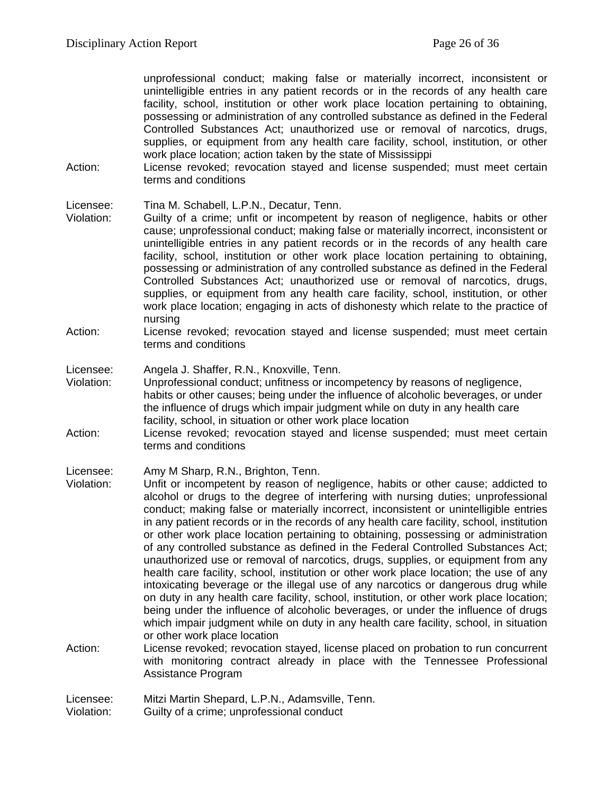unprofessional conduct; making false or materially incorrect, inconsistent or unintelligible entries in any patient records or in the records of any health care facility, school, institution or other work place location pertaining to obtaining, possessing or administration of any controlled substance as defined in the Federal Controlled Substances Act; unauthorized use or removal of narcotics, drugs, supplies, or equipment from any health care facility, school, institution, or other work place location; action taken by the state of Mississippi

Action: License revoked; revocation stayed and license suspended; must meet certain terms and conditions

#### Licensee: Tina M. Schabell, L.P.N., Decatur, Tenn.

- Violation: Guilty of a crime; unfit or incompetent by reason of negligence, habits or other cause; unprofessional conduct; making false or materially incorrect, inconsistent or unintelligible entries in any patient records or in the records of any health care facility, school, institution or other work place location pertaining to obtaining, possessing or administration of any controlled substance as defined in the Federal Controlled Substances Act; unauthorized use or removal of narcotics, drugs, supplies, or equipment from any health care facility, school, institution, or other work place location; engaging in acts of dishonesty which relate to the practice of nursing
- Action: License revoked; revocation stayed and license suspended; must meet certain terms and conditions
- Licensee: Angela J. Shaffer, R.N., Knoxville, Tenn.<br>Violation: Unprofessional conduct: unfitness or inco
- Unprofessional conduct; unfitness or incompetency by reasons of negligence, habits or other causes; being under the influence of alcoholic beverages, or under the influence of drugs which impair judgment while on duty in any health care facility, school, in situation or other work place location
- Action: License revoked; revocation stayed and license suspended; must meet certain terms and conditions

#### Licensee: Amy M Sharp, R.N., Brighton, Tenn.

Violation: Unfit or incompetent by reason of negligence, habits or other cause; addicted to alcohol or drugs to the degree of interfering with nursing duties; unprofessional conduct; making false or materially incorrect, inconsistent or unintelligible entries in any patient records or in the records of any health care facility, school, institution or other work place location pertaining to obtaining, possessing or administration of any controlled substance as defined in the Federal Controlled Substances Act; unauthorized use or removal of narcotics, drugs, supplies, or equipment from any health care facility, school, institution or other work place location; the use of any intoxicating beverage or the illegal use of any narcotics or dangerous drug while on duty in any health care facility, school, institution, or other work place location; being under the influence of alcoholic beverages, or under the influence of drugs which impair judgment while on duty in any health care facility, school, in situation or other work place location

Action: License revoked; revocation stayed, license placed on probation to run concurrent with monitoring contract already in place with the Tennessee Professional Assistance Program

Licensee: Mitzi Martin Shepard, L.P.N., Adamsville, Tenn.

Violation: Guilty of a crime; unprofessional conduct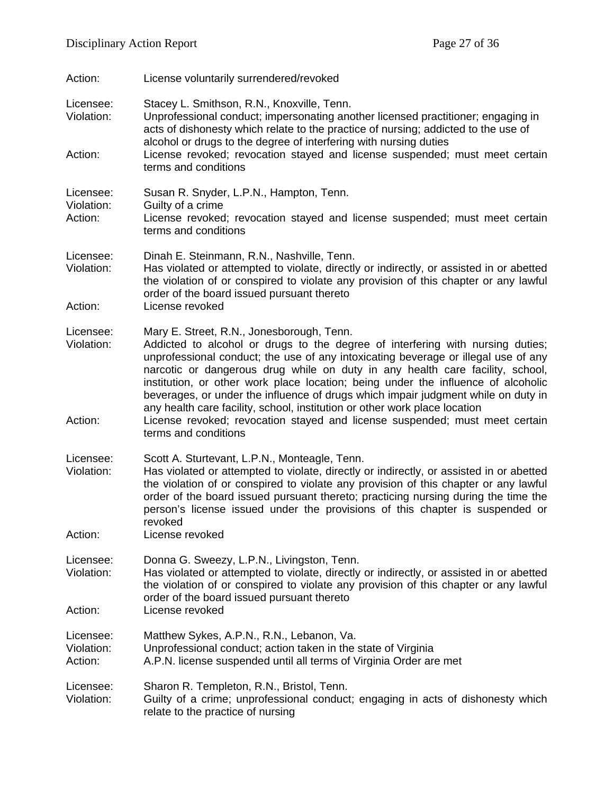| Action:                            | License voluntarily surrendered/revoked                                                                                                                                                                                                                                                                                                                                                                                                                                                                                                                                                                                                                           |
|------------------------------------|-------------------------------------------------------------------------------------------------------------------------------------------------------------------------------------------------------------------------------------------------------------------------------------------------------------------------------------------------------------------------------------------------------------------------------------------------------------------------------------------------------------------------------------------------------------------------------------------------------------------------------------------------------------------|
| Licensee:<br>Violation:<br>Action: | Stacey L. Smithson, R.N., Knoxville, Tenn.<br>Unprofessional conduct; impersonating another licensed practitioner; engaging in<br>acts of dishonesty which relate to the practice of nursing; addicted to the use of<br>alcohol or drugs to the degree of interfering with nursing duties<br>License revoked; revocation stayed and license suspended; must meet certain                                                                                                                                                                                                                                                                                          |
|                                    | terms and conditions                                                                                                                                                                                                                                                                                                                                                                                                                                                                                                                                                                                                                                              |
| Licensee:<br>Violation:<br>Action: | Susan R. Snyder, L.P.N., Hampton, Tenn.<br>Guilty of a crime<br>License revoked; revocation stayed and license suspended; must meet certain<br>terms and conditions                                                                                                                                                                                                                                                                                                                                                                                                                                                                                               |
| Licensee:<br>Violation:<br>Action: | Dinah E. Steinmann, R.N., Nashville, Tenn.<br>Has violated or attempted to violate, directly or indirectly, or assisted in or abetted<br>the violation of or conspired to violate any provision of this chapter or any lawful<br>order of the board issued pursuant thereto<br>License revoked                                                                                                                                                                                                                                                                                                                                                                    |
| Licensee:<br>Violation:<br>Action: | Mary E. Street, R.N., Jonesborough, Tenn.<br>Addicted to alcohol or drugs to the degree of interfering with nursing duties;<br>unprofessional conduct; the use of any intoxicating beverage or illegal use of any<br>narcotic or dangerous drug while on duty in any health care facility, school,<br>institution, or other work place location; being under the influence of alcoholic<br>beverages, or under the influence of drugs which impair judgment while on duty in<br>any health care facility, school, institution or other work place location<br>License revoked; revocation stayed and license suspended; must meet certain<br>terms and conditions |
| Licensee:<br>Violation:<br>Action: | Scott A. Sturtevant, L.P.N., Monteagle, Tenn.<br>Has violated or attempted to violate, directly or indirectly, or assisted in or abetted<br>the violation of or conspired to violate any provision of this chapter or any lawful<br>order of the board issued pursuant thereto; practicing nursing during the time the<br>person's license issued under the provisions of this chapter is suspended or<br>revoked<br>License revoked                                                                                                                                                                                                                              |
| Licensee:<br>Violation:<br>Action: | Donna G. Sweezy, L.P.N., Livingston, Tenn.<br>Has violated or attempted to violate, directly or indirectly, or assisted in or abetted<br>the violation of or conspired to violate any provision of this chapter or any lawful<br>order of the board issued pursuant thereto<br>License revoked                                                                                                                                                                                                                                                                                                                                                                    |
| Licensee:<br>Violation:<br>Action: | Matthew Sykes, A.P.N., R.N., Lebanon, Va.<br>Unprofessional conduct; action taken in the state of Virginia<br>A.P.N. license suspended until all terms of Virginia Order are met                                                                                                                                                                                                                                                                                                                                                                                                                                                                                  |
| Licensee:<br>Violation:            | Sharon R. Templeton, R.N., Bristol, Tenn.<br>Guilty of a crime; unprofessional conduct; engaging in acts of dishonesty which<br>relate to the practice of nursing                                                                                                                                                                                                                                                                                                                                                                                                                                                                                                 |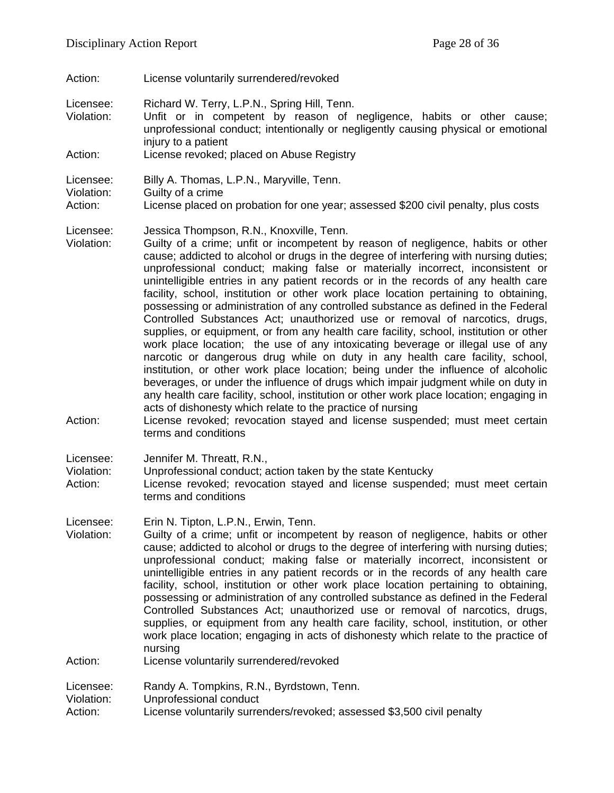Action: License voluntarily surrendered/revoked

Licensee: Richard W. Terry, L.P.N., Spring Hill, Tenn.

- Violation: Unfit or in competent by reason of negligence, habits or other cause; unprofessional conduct; intentionally or negligently causing physical or emotional injury to a patient Action: License revoked; placed on Abuse Registry
- 

Licensee: Billy A. Thomas, L.P.N., Maryville, Tenn.<br>Violation: Guilty of a crime Guilty of a crime Action: License placed on probation for one year; assessed \$200 civil penalty, plus costs

Licensee: Jessica Thompson, R.N., Knoxville, Tenn.

- Violation: Guilty of a crime; unfit or incompetent by reason of negligence, habits or other cause; addicted to alcohol or drugs in the degree of interfering with nursing duties; unprofessional conduct; making false or materially incorrect, inconsistent or unintelligible entries in any patient records or in the records of any health care facility, school, institution or other work place location pertaining to obtaining, possessing or administration of any controlled substance as defined in the Federal Controlled Substances Act; unauthorized use or removal of narcotics, drugs, supplies, or equipment, or from any health care facility, school, institution or other work place location; the use of any intoxicating beverage or illegal use of any narcotic or dangerous drug while on duty in any health care facility, school, institution, or other work place location; being under the influence of alcoholic beverages, or under the influence of drugs which impair judgment while on duty in any health care facility, school, institution or other work place location; engaging in acts of dishonesty which relate to the practice of nursing
- Action: License revoked; revocation stayed and license suspended; must meet certain terms and conditions

Licensee: Jennifer M. Threatt, R.N.,

Violation: Unprofessional conduct; action taken by the state Kentucky

Action: License revoked; revocation stayed and license suspended; must meet certain terms and conditions

Licensee: Erin N. Tipton, L.P.N., Erwin, Tenn.

Violation: Guilty of a crime; unfit or incompetent by reason of negligence, habits or other cause; addicted to alcohol or drugs to the degree of interfering with nursing duties; unprofessional conduct; making false or materially incorrect, inconsistent or unintelligible entries in any patient records or in the records of any health care facility, school, institution or other work place location pertaining to obtaining, possessing or administration of any controlled substance as defined in the Federal Controlled Substances Act; unauthorized use or removal of narcotics, drugs, supplies, or equipment from any health care facility, school, institution, or other work place location; engaging in acts of dishonesty which relate to the practice of nursing Action: License voluntarily surrendered/revoked

Licensee: Randy A. Tompkins, R.N., Byrdstown, Tenn.

Violation: Unprofessional conduct

Action: License voluntarily surrenders/revoked; assessed \$3,500 civil penalty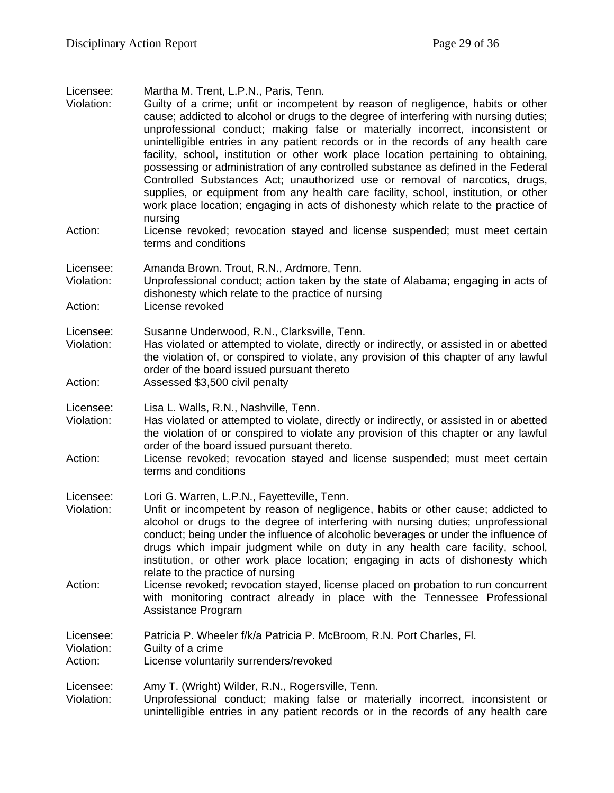Licensee: Martha M. Trent, L.P.N., Paris, Tenn.

Violation: Guilty of a crime; unfit or incompetent by reason of negligence, habits or other cause; addicted to alcohol or drugs to the degree of interfering with nursing duties; unprofessional conduct; making false or materially incorrect, inconsistent or unintelligible entries in any patient records or in the records of any health care facility, school, institution or other work place location pertaining to obtaining, possessing or administration of any controlled substance as defined in the Federal Controlled Substances Act; unauthorized use or removal of narcotics, drugs, supplies, or equipment from any health care facility, school, institution, or other work place location; engaging in acts of dishonesty which relate to the practice of nursing Action: License revoked; revocation stayed and license suspended; must meet certain terms and conditions Licensee: Amanda Brown. Trout, R.N., Ardmore, Tenn.<br>Violation: Unprofessional conduct: action taken by the Unprofessional conduct; action taken by the state of Alabama; engaging in acts of dishonesty which relate to the practice of nursing Action: License revoked Licensee: Susanne Underwood, R.N., Clarksville, Tenn. Violation: Has violated or attempted to violate, directly or indirectly, or assisted in or abetted the violation of, or conspired to violate, any provision of this chapter of any lawful order of the board issued pursuant thereto Action: Assessed \$3,500 civil penalty Licensee: Lisa L. Walls, R.N., Nashville, Tenn. Violation: Has violated or attempted to violate, directly or indirectly, or assisted in or abetted the violation of or conspired to violate any provision of this chapter or any lawful order of the board issued pursuant thereto. Action: License revoked; revocation stayed and license suspended; must meet certain terms and conditions Licensee: Lori G. Warren, L.P.N., Fayetteville, Tenn. Violation: Unfit or incompetent by reason of negligence, habits or other cause; addicted to alcohol or drugs to the degree of interfering with nursing duties; unprofessional conduct; being under the influence of alcoholic beverages or under the influence of drugs which impair judgment while on duty in any health care facility, school, institution, or other work place location; engaging in acts of dishonesty which relate to the practice of nursing Action: License revoked; revocation stayed, license placed on probation to run concurrent with monitoring contract already in place with the Tennessee Professional Assistance Program Licensee: Patricia P. Wheeler f/k/a Patricia P. McBroom, R.N. Port Charles, Fl. Violation: Guilty of a crime<br>Action: License voluntari License voluntarily surrenders/revoked Licensee: Amy T. (Wright) Wilder, R.N., Rogersville, Tenn. Violation: Unprofessional conduct; making false or materially incorrect, inconsistent or unintelligible entries in any patient records or in the records of any health care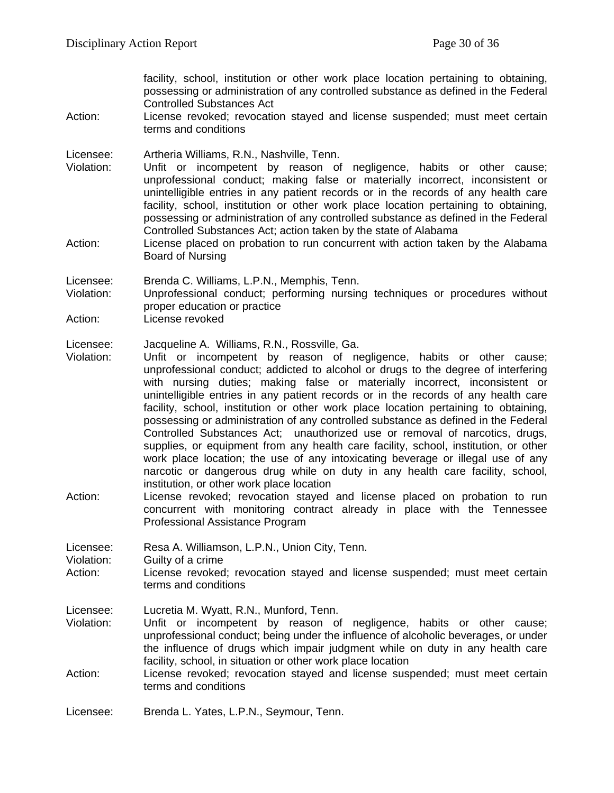facility, school, institution or other work place location pertaining to obtaining, possessing or administration of any controlled substance as defined in the Federal Controlled Substances Act

Action: License revoked; revocation stayed and license suspended; must meet certain terms and conditions

Licensee: Artheria Williams, R.N., Nashville, Tenn.

- Violation: Unfit or incompetent by reason of negligence, habits or other cause; unprofessional conduct; making false or materially incorrect, inconsistent or unintelligible entries in any patient records or in the records of any health care facility, school, institution or other work place location pertaining to obtaining, possessing or administration of any controlled substance as defined in the Federal Controlled Substances Act; action taken by the state of Alabama
- Action: License placed on probation to run concurrent with action taken by the Alabama Board of Nursing

Licensee: Brenda C. Williams, L.P.N., Memphis, Tenn.<br>Violation: Unprofessional conduct: performing nursing

Unprofessional conduct; performing nursing techniques or procedures without proper education or practice

Action: License revoked

Licensee: Jacqueline A. Williams, R.N., Rossville, Ga.

- Violation: Unfit or incompetent by reason of negligence, habits or other cause; unprofessional conduct; addicted to alcohol or drugs to the degree of interfering with nursing duties; making false or materially incorrect, inconsistent or unintelligible entries in any patient records or in the records of any health care facility, school, institution or other work place location pertaining to obtaining, possessing or administration of any controlled substance as defined in the Federal Controlled Substances Act; unauthorized use or removal of narcotics, drugs, supplies, or equipment from any health care facility, school, institution, or other work place location; the use of any intoxicating beverage or illegal use of any narcotic or dangerous drug while on duty in any health care facility, school, institution, or other work place location
- Action: License revoked; revocation stayed and license placed on probation to run concurrent with monitoring contract already in place with the Tennessee Professional Assistance Program

Licensee: Resa A. Williamson, L.P.N., Union City, Tenn.<br>Violation: Guilty of a crime Violation: Guilty of a crime<br>Action: License revoked License revoked; revocation stayed and license suspended; must meet certain terms and conditions Licensee: Lucretia M. Wyatt, R.N., Munford, Tenn. Violation: Unfit or incompetent by reason of negligence, habits or other cause; unprofessional conduct; being under the influence of alcoholic beverages, or under the influence of drugs which impair judgment while on duty in any health care facility, school, in situation or other work place location Action: License revoked; revocation stayed and license suspended; must meet certain

Licensee: Brenda L. Yates, L.P.N., Seymour, Tenn.

terms and conditions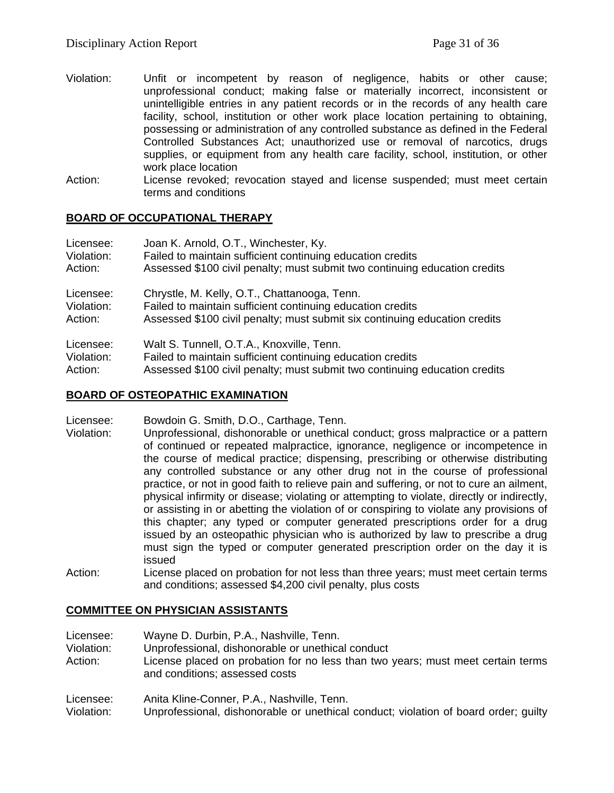- Violation: Unfit or incompetent by reason of negligence, habits or other cause; unprofessional conduct; making false or materially incorrect, inconsistent or unintelligible entries in any patient records or in the records of any health care facility, school, institution or other work place location pertaining to obtaining, possessing or administration of any controlled substance as defined in the Federal Controlled Substances Act; unauthorized use or removal of narcotics, drugs supplies, or equipment from any health care facility, school, institution, or other work place location
- Action: License revoked; revocation stayed and license suspended; must meet certain terms and conditions

## **BOARD OF OCCUPATIONAL THERAPY**

| Licensee:  | Joan K. Arnold, O.T., Winchester, Ky.                                      |
|------------|----------------------------------------------------------------------------|
| Violation: | Failed to maintain sufficient continuing education credits                 |
| Action:    | Assessed \$100 civil penalty; must submit two continuing education credits |
| Licensee:  | Chrystle, M. Kelly, O.T., Chattanooga, Tenn.                               |
| Violation: | Failed to maintain sufficient continuing education credits                 |
| Action:    | Assessed \$100 civil penalty; must submit six continuing education credits |
| Licensee:  | Walt S. Tunnell, O.T.A., Knoxville, Tenn.                                  |
| Violation: | Failed to maintain sufficient continuing education credits                 |
| Action:    | Assessed \$100 civil penalty; must submit two continuing education credits |

#### **BOARD OF OSTEOPATHIC EXAMINATION**

- Licensee: Bowdoin G. Smith, D.O., Carthage, Tenn.
- Violation: Unprofessional, dishonorable or unethical conduct; gross malpractice or a pattern of continued or repeated malpractice, ignorance, negligence or incompetence in the course of medical practice; dispensing, prescribing or otherwise distributing any controlled substance or any other drug not in the course of professional practice, or not in good faith to relieve pain and suffering, or not to cure an ailment, physical infirmity or disease; violating or attempting to violate, directly or indirectly, or assisting in or abetting the violation of or conspiring to violate any provisions of this chapter; any typed or computer generated prescriptions order for a drug issued by an osteopathic physician who is authorized by law to prescribe a drug must sign the typed or computer generated prescription order on the day it is issued
- Action: License placed on probation for not less than three years; must meet certain terms and conditions; assessed \$4,200 civil penalty, plus costs

#### **COMMITTEE ON PHYSICIAN ASSISTANTS**

Licensee: Wayne D. Durbin, P.A., Nashville, Tenn.

Violation: Unprofessional, dishonorable or unethical conduct License placed on probation for no less than two years; must meet certain terms and conditions; assessed costs

Licensee: Anita Kline-Conner, P.A., Nashville, Tenn.

Violation: Unprofessional, dishonorable or unethical conduct; violation of board order; guilty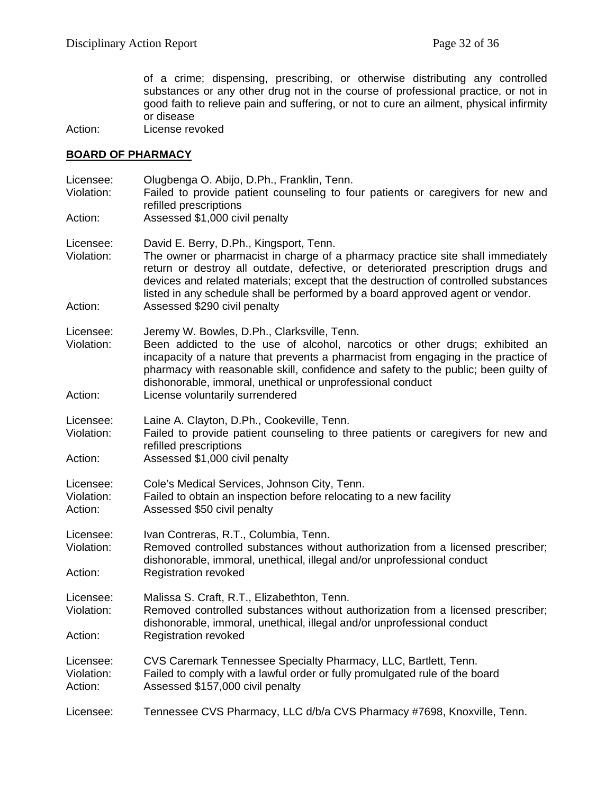of a crime; dispensing, prescribing, or otherwise distributing any controlled substances or any other drug not in the course of professional practice, or not in good faith to relieve pain and suffering, or not to cure an ailment, physical infirmity or disease

Action: License revoked

#### **BOARD OF PHARMACY**

| Licensee:<br>Violation:<br>Action: | Olugbenga O. Abijo, D.Ph., Franklin, Tenn.<br>Failed to provide patient counseling to four patients or caregivers for new and<br>refilled prescriptions<br>Assessed \$1,000 civil penalty                                                                                                                                                                                                                               |
|------------------------------------|-------------------------------------------------------------------------------------------------------------------------------------------------------------------------------------------------------------------------------------------------------------------------------------------------------------------------------------------------------------------------------------------------------------------------|
|                                    |                                                                                                                                                                                                                                                                                                                                                                                                                         |
| Licensee:<br>Violation:<br>Action: | David E. Berry, D.Ph., Kingsport, Tenn.<br>The owner or pharmacist in charge of a pharmacy practice site shall immediately<br>return or destroy all outdate, defective, or deteriorated prescription drugs and<br>devices and related materials; except that the destruction of controlled substances<br>listed in any schedule shall be performed by a board approved agent or vendor.<br>Assessed \$290 civil penalty |
|                                    |                                                                                                                                                                                                                                                                                                                                                                                                                         |
| Licensee:<br>Violation:<br>Action: | Jeremy W. Bowles, D.Ph., Clarksville, Tenn.<br>Been addicted to the use of alcohol, narcotics or other drugs; exhibited an<br>incapacity of a nature that prevents a pharmacist from engaging in the practice of<br>pharmacy with reasonable skill, confidence and safety to the public; been guilty of<br>dishonorable, immoral, unethical or unprofessional conduct<br>License voluntarily surrendered                |
|                                    |                                                                                                                                                                                                                                                                                                                                                                                                                         |
| Licensee:<br>Violation:            | Laine A. Clayton, D.Ph., Cookeville, Tenn.<br>Failed to provide patient counseling to three patients or caregivers for new and<br>refilled prescriptions                                                                                                                                                                                                                                                                |
| Action:                            | Assessed \$1,000 civil penalty                                                                                                                                                                                                                                                                                                                                                                                          |
| Licensee:<br>Violation:<br>Action: | Cole's Medical Services, Johnson City, Tenn.<br>Failed to obtain an inspection before relocating to a new facility<br>Assessed \$50 civil penalty                                                                                                                                                                                                                                                                       |
| Licensee:<br>Violation:            | Ivan Contreras, R.T., Columbia, Tenn.<br>Removed controlled substances without authorization from a licensed prescriber;                                                                                                                                                                                                                                                                                                |
| Action:                            | dishonorable, immoral, unethical, illegal and/or unprofessional conduct<br><b>Registration revoked</b>                                                                                                                                                                                                                                                                                                                  |
| Licensee:<br>Violation:            | Malissa S. Craft, R.T., Elizabethton, Tenn.<br>Removed controlled substances without authorization from a licensed prescriber;<br>dishonorable, immoral, unethical, illegal and/or unprofessional conduct                                                                                                                                                                                                               |
| Action:                            | <b>Registration revoked</b>                                                                                                                                                                                                                                                                                                                                                                                             |
| Licensee:<br>Violation:<br>Action: | CVS Caremark Tennessee Specialty Pharmacy, LLC, Bartlett, Tenn.<br>Failed to comply with a lawful order or fully promulgated rule of the board<br>Assessed \$157,000 civil penalty                                                                                                                                                                                                                                      |
| Licensee:                          | Tennessee CVS Pharmacy, LLC d/b/a CVS Pharmacy #7698, Knoxville, Tenn.                                                                                                                                                                                                                                                                                                                                                  |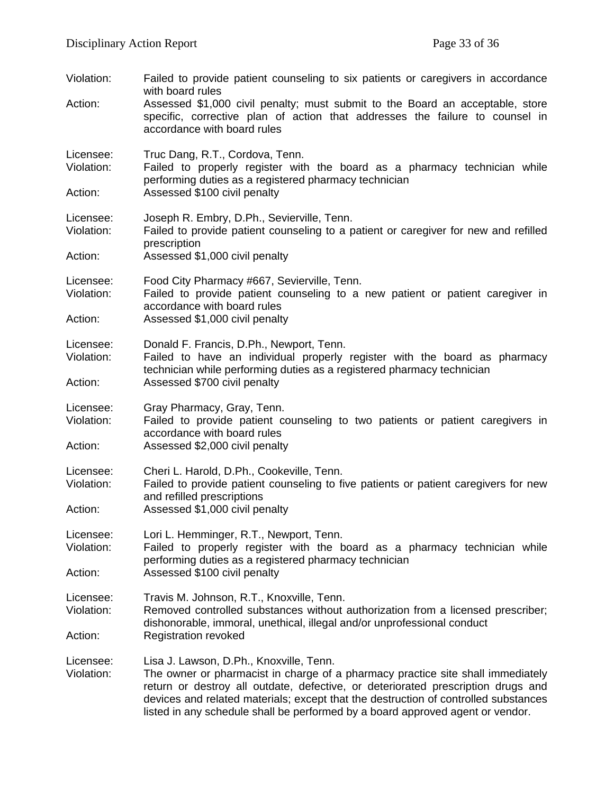| Assessed \$1,000 civil penalty; must submit to the Board an acceptable, store<br>specific, corrective plan of action that addresses the failure to counsel in                                                                                                                                                                                |
|----------------------------------------------------------------------------------------------------------------------------------------------------------------------------------------------------------------------------------------------------------------------------------------------------------------------------------------------|
| Failed to properly register with the board as a pharmacy technician while                                                                                                                                                                                                                                                                    |
|                                                                                                                                                                                                                                                                                                                                              |
| Failed to provide patient counseling to a patient or caregiver for new and refilled                                                                                                                                                                                                                                                          |
|                                                                                                                                                                                                                                                                                                                                              |
| Failed to provide patient counseling to a new patient or patient caregiver in                                                                                                                                                                                                                                                                |
|                                                                                                                                                                                                                                                                                                                                              |
| Failed to have an individual properly register with the board as pharmacy<br>technician while performing duties as a registered pharmacy technician                                                                                                                                                                                          |
|                                                                                                                                                                                                                                                                                                                                              |
| Failed to provide patient counseling to two patients or patient caregivers in                                                                                                                                                                                                                                                                |
|                                                                                                                                                                                                                                                                                                                                              |
| Failed to provide patient counseling to five patients or patient caregivers for new                                                                                                                                                                                                                                                          |
| Failed to properly register with the board as a pharmacy technician while                                                                                                                                                                                                                                                                    |
|                                                                                                                                                                                                                                                                                                                                              |
| Removed controlled substances without authorization from a licensed prescriber;<br>dishonorable, immoral, unethical, illegal and/or unprofessional conduct                                                                                                                                                                                   |
|                                                                                                                                                                                                                                                                                                                                              |
| The owner or pharmacist in charge of a pharmacy practice site shall immediately<br>return or destroy all outdate, defective, or deteriorated prescription drugs and<br>devices and related materials; except that the destruction of controlled substances<br>listed in any schedule shall be performed by a board approved agent or vendor. |
|                                                                                                                                                                                                                                                                                                                                              |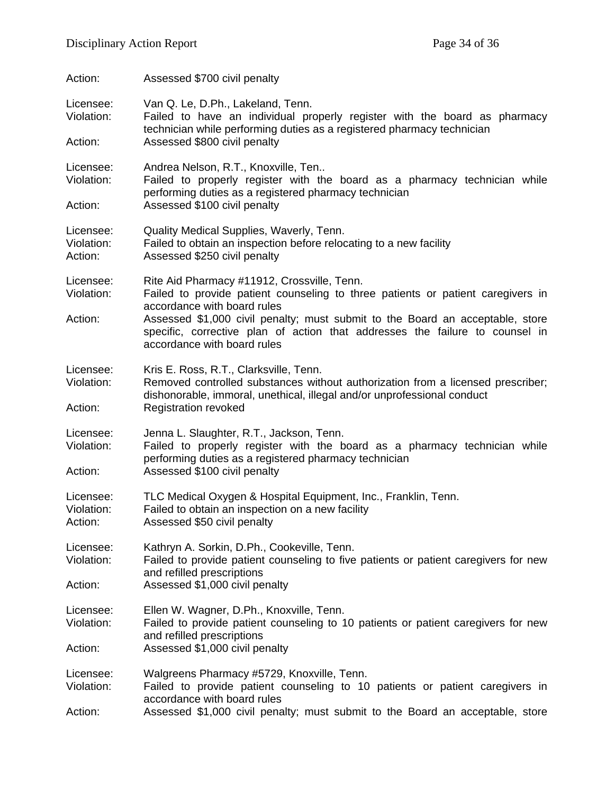| Action:                            | Assessed \$700 civil penalty                                                                                                                                                                                                                                                                                                                                  |
|------------------------------------|---------------------------------------------------------------------------------------------------------------------------------------------------------------------------------------------------------------------------------------------------------------------------------------------------------------------------------------------------------------|
| Licensee:<br>Violation:<br>Action: | Van Q. Le, D.Ph., Lakeland, Tenn.<br>Failed to have an individual properly register with the board as pharmacy<br>technician while performing duties as a registered pharmacy technician<br>Assessed \$800 civil penalty                                                                                                                                      |
| Licensee:<br>Violation:<br>Action: | Andrea Nelson, R.T., Knoxville, Ten<br>Failed to properly register with the board as a pharmacy technician while<br>performing duties as a registered pharmacy technician<br>Assessed \$100 civil penalty                                                                                                                                                     |
| Licensee:<br>Violation:<br>Action: | Quality Medical Supplies, Waverly, Tenn.<br>Failed to obtain an inspection before relocating to a new facility<br>Assessed \$250 civil penalty                                                                                                                                                                                                                |
| Licensee:<br>Violation:<br>Action: | Rite Aid Pharmacy #11912, Crossville, Tenn.<br>Failed to provide patient counseling to three patients or patient caregivers in<br>accordance with board rules<br>Assessed \$1,000 civil penalty; must submit to the Board an acceptable, store<br>specific, corrective plan of action that addresses the failure to counsel in<br>accordance with board rules |
| Licensee:<br>Violation:<br>Action: | Kris E. Ross, R.T., Clarksville, Tenn.<br>Removed controlled substances without authorization from a licensed prescriber;<br>dishonorable, immoral, unethical, illegal and/or unprofessional conduct<br><b>Registration revoked</b>                                                                                                                           |
| Licensee:<br>Violation:<br>Action: | Jenna L. Slaughter, R.T., Jackson, Tenn.<br>Failed to properly register with the board as a pharmacy technician while<br>performing duties as a registered pharmacy technician<br>Assessed \$100 civil penalty                                                                                                                                                |
| Licensee:<br>Violation:<br>Action: | TLC Medical Oxygen & Hospital Equipment, Inc., Franklin, Tenn.<br>Failed to obtain an inspection on a new facility<br>Assessed \$50 civil penalty                                                                                                                                                                                                             |
| Licensee:<br>Violation:<br>Action: | Kathryn A. Sorkin, D.Ph., Cookeville, Tenn.<br>Failed to provide patient counseling to five patients or patient caregivers for new<br>and refilled prescriptions<br>Assessed \$1,000 civil penalty                                                                                                                                                            |
| Licensee:<br>Violation:<br>Action: | Ellen W. Wagner, D.Ph., Knoxville, Tenn.<br>Failed to provide patient counseling to 10 patients or patient caregivers for new<br>and refilled prescriptions<br>Assessed \$1,000 civil penalty                                                                                                                                                                 |
| Licensee:<br>Violation:<br>Action: | Walgreens Pharmacy #5729, Knoxville, Tenn.<br>Failed to provide patient counseling to 10 patients or patient caregivers in<br>accordance with board rules<br>Assessed \$1,000 civil penalty; must submit to the Board an acceptable, store                                                                                                                    |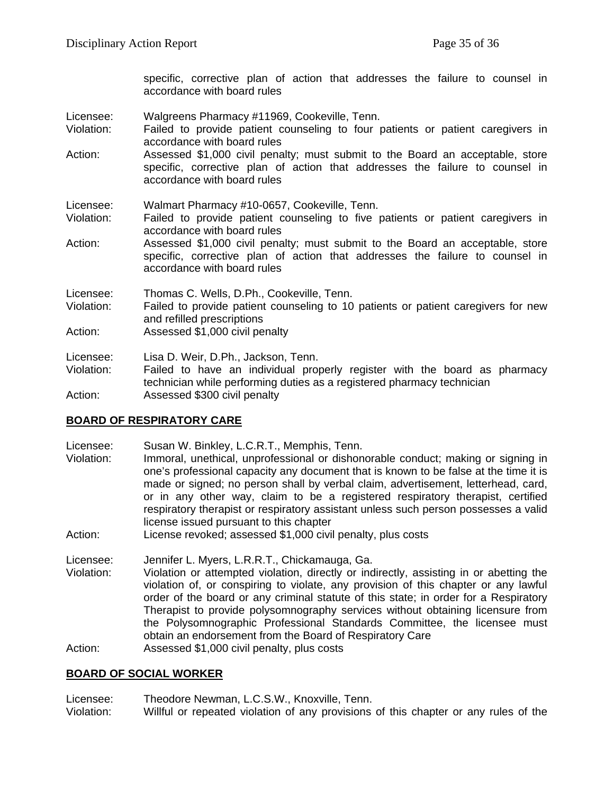specific, corrective plan of action that addresses the failure to counsel in accordance with board rules

- Licensee: Walgreens Pharmacy #11969, Cookeville, Tenn.
- Violation: Failed to provide patient counseling to four patients or patient caregivers in accordance with board rules
- Action: Assessed \$1,000 civil penalty; must submit to the Board an acceptable, store specific, corrective plan of action that addresses the failure to counsel in accordance with board rules
- Licensee: Walmart Pharmacy #10-0657, Cookeville, Tenn.
- Violation: Failed to provide patient counseling to five patients or patient caregivers in accordance with board rules
- Action: Assessed \$1,000 civil penalty; must submit to the Board an acceptable, store specific, corrective plan of action that addresses the failure to counsel in accordance with board rules

Licensee: Thomas C. Wells, D.Ph., Cookeville, Tenn.

- Violation: Failed to provide patient counseling to 10 patients or patient caregivers for new and refilled prescriptions
- Action: Assessed \$1,000 civil penalty

Licensee: Lisa D. Weir, D.Ph., Jackson, Tenn.

Violation: Failed to have an individual properly register with the board as pharmacy technician while performing duties as a registered pharmacy technician Action: Assessed \$300 civil penalty

## **BOARD OF RESPIRATORY CARE**

- Licensee: Susan W. Binkley, L.C.R.T., Memphis, Tenn. Violation: Immoral, unethical, unprofessional or dishonorable conduct; making or signing in one's professional capacity any document that is known to be false at the time it is made or signed; no person shall by verbal claim, advertisement, letterhead, card, or in any other way, claim to be a registered respiratory therapist, certified respiratory therapist or respiratory assistant unless such person possesses a valid license issued pursuant to this chapter
- Action: License revoked; assessed \$1,000 civil penalty, plus costs
- Licensee: Jennifer L. Myers, L.R.R.T., Chickamauga, Ga.<br>Violation: Violation or attempted violation. directly or ind
- Violation or attempted violation, directly or indirectly, assisting in or abetting the violation of, or conspiring to violate, any provision of this chapter or any lawful order of the board or any criminal statute of this state; in order for a Respiratory Therapist to provide polysomnography services without obtaining licensure from the Polysomnographic Professional Standards Committee, the licensee must obtain an endorsement from the Board of Respiratory Care
- Action: Assessed \$1,000 civil penalty, plus costs

#### **BOARD OF SOCIAL WORKER**

Licensee: Theodore Newman, L.C.S.W., Knoxville, Tenn. Violation: Willful or repeated violation of any provisions of this chapter or any rules of the